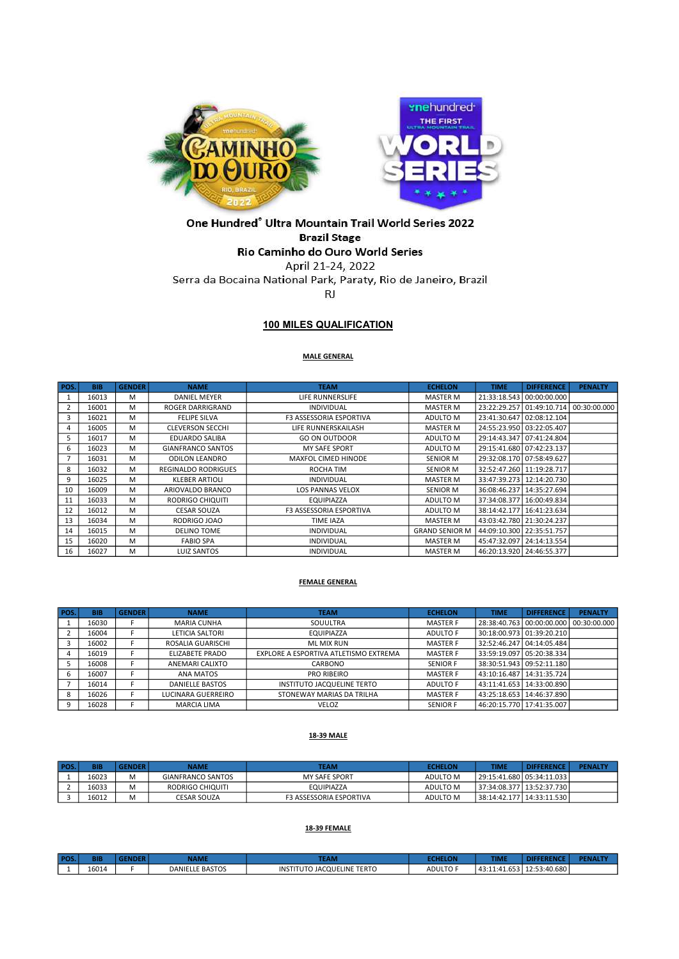

# One Hundred® Ultra Mountain Trail World Series 2022 **Brazil Stage**

# Rio Caminho do Ouro World Series

April 21-24, 2022 Serra da Bocaina National Park, Paraty, Rio de Janeiro, Brazil RJ

## 100 MILES QUALIFICATION

#### MALE GENERAL

| POS. | <b>BIB</b> | <b>GENDER</b> | <b>NAME</b>                | <b>TEAM</b>                    | <b>ECHELON</b>        | <b>TIME</b> | <b>DIFFERENCE</b>                          | <b>PENALTY</b> |
|------|------------|---------------|----------------------------|--------------------------------|-----------------------|-------------|--------------------------------------------|----------------|
| 1    | 16013      | M             | <b>DANIEL MEYER</b>        | LIFE RUNNERSLIFE               | <b>MASTER M</b>       |             | 21:33:18.543 00:00:00.000                  |                |
| 2    | 16001      | м             | ROGER DARRIGRAND           | <b>INDIVIDUAL</b>              | MASTER M              |             | 23:22:29.257   01:49:10.714   00:30:00.000 |                |
| 3    | 16021      | м             | <b>FELIPE SILVA</b>        | <b>F3 ASSESSORIA ESPORTIVA</b> | ADULTO M              |             | 23:41:30.647 02:08:12.104                  |                |
| 4    | 16005      | м             | <b>CLEVERSON SECCHI</b>    | LIFE RUNNERSKAILASH            | <b>MASTER M</b>       |             | 24:55:23.950 03:22:05.407                  |                |
| 5    | 16017      | м             | <b>EDUARDO SALIBA</b>      | <b>GO ON OUTDOOR</b>           | ADULTO M              |             | 29:14:43.347 07:41:24.804                  |                |
| 6    | 16023      | M             | <b>GIANFRANCO SANTOS</b>   | <b>MY SAFE SPORT</b>           | ADULTO M              |             | 29:15:41.680 07:42:23.137                  |                |
|      | 16031      | м             | <b>ODILON LEANDRO</b>      | MAXFOL CIMED HINODE            | <b>SENIOR M</b>       |             | 29:32:08.170 07:58:49.627                  |                |
| 8    | 16032      | M             | <b>REGINALDO RODRIGUES</b> | ROCHA TIM                      | SENIOR M              |             | 32:52:47.260 11:19:28.717                  |                |
| 9    | 16025      | м             | <b>KLEBER ARTIOLI</b>      | <b>INDIVIDUAL</b>              | <b>MASTER M</b>       |             | 33:47:39.273 12:14:20.730                  |                |
| 10   | 16009      | м             | ARIOVALDO BRANCO           | <b>LOS PANNAS VELOX</b>        | <b>SENIOR M</b>       |             | 36:08:46.237   14:35:27.694                |                |
| 11   | 16033      | м             | RODRIGO CHIQUITI           | EQUIPIAZZA                     | ADULTO M              |             | 37:34:08.377   16:00:49.834                |                |
| 12   | 16012      | M             | <b>CESAR SOUZA</b>         | <b>F3 ASSESSORIA ESPORTIVA</b> | ADULTO M              |             | 38:14:42.177   16:41:23.634                |                |
| 13   | 16034      | M             | RODRIGO JOAO               | <b>TIME IAZA</b>               | <b>MASTER M</b>       |             | 43:03:42.780 21:30:24.237                  |                |
| 14   | 16015      | M             | <b>DELINO TOME</b>         | <b>INDIVIDUAL</b>              | <b>GRAND SENIOR M</b> |             | 44:09:10.300   22:35:51.757                |                |
| 15   | 16020      | M             | <b>FABIO SPA</b>           | <b>INDIVIDUAL</b>              | <b>MASTER M</b>       |             | 45:47:32.097 24:14:13.554                  |                |
| 16   | 16027      | м             | LUIZ SANTOS                | <b>INDIVIDUAL</b>              | <b>MASTER M</b>       |             | 46:20:13.920 24:46:55.377                  |                |

#### FEMALE GENERAL

| POS. | <b>BIB</b> | <b>GENDER</b> | <b>NAME</b>            | <b>TEAM</b>                           | <b>ECHELON</b>  | <b>TIME</b> | <b>DIFFERENCE</b>           | <b>PENALTY</b> |
|------|------------|---------------|------------------------|---------------------------------------|-----------------|-------------|-----------------------------|----------------|
|      | 16030      |               | <b>MARIA CUNHA</b>     | SOUULTRA                              | <b>MASTER F</b> |             | 28:38:40.763 00:00:00.000   | 00:30:00.000   |
|      | 16004      |               | LETICIA SALTORI        | EQUIPIAZZA                            | ADULTO F        |             | 30:18:00.973 01:39:20.210   |                |
|      | 16002      |               | ROSALIA GUARISCHI      | ML MIX RUN                            | <b>MASTER F</b> |             | 32:52:46.247   04:14:05.484 |                |
|      | 16019      |               | ELIZABETE PRADO        | EXPLORE A ESPORTIVA ATLETISMO EXTREMA | <b>MASTER F</b> |             | 33:59:19.097   05:20:38.334 |                |
|      | 16008      |               | ANEMARI CALIXTO        | CARBONO                               | <b>SENIOR F</b> |             | 38:30:51.943 09:52:11.180   |                |
|      | 16007      |               | ANA MATOS              | <b>PRO RIBEIRO</b>                    | <b>MASTER F</b> |             | 43:10:16.487   14:31:35.724 |                |
|      | 16014      |               | <b>DANIELLE BASTOS</b> | <b>INSTITUTO JACQUELINE TERTO</b>     | ADULTO F        |             | 43:11:41.653   14:33:00.890 |                |
|      | 16026      |               | LUCINARA GUERREIRO     | STONEWAY MARIAS DA TRILHA             | <b>MASTER F</b> |             | 43:25:18.653   14:46:37.890 |                |
|      | 16028      |               | <b>MARCIA LIMA</b>     | <b>VELOZ</b>                          | <b>SENIOR F</b> |             | 46:20:15.770   17:41:35.007 |                |

#### 18-39 MALE

| POS. | <b>BIB</b> | <b>GENDER</b> | <b>NAME</b>              | <b>TEAM</b>             | <b>ECHELON</b> | TIME | <b>DIFFERENCE</b>           | <b>PENALTY</b> |
|------|------------|---------------|--------------------------|-------------------------|----------------|------|-----------------------------|----------------|
|      | 16023      | м             | <b>GIANFRANCO SANTOS</b> | <b>MY SAFE SPORT</b>    | ADULTO M       |      | 29:15:41.680   05:34:11.033 |                |
|      | 16033      | м             | RODRIGO CHIQUITI         | <b>EQUIPIAZZA</b>       | ADULTO M       |      | 37:34:08.377   13:52:37.730 |                |
|      | 16012      | M             | CESAR SOUZA              | F3 ASSESSORIA ESPORTIVA | ADULTO M       |      | 38:14:42.177   14:33:11.530 |                |

### 18-39 FEMALE

| <b>POS</b> | BIB   | <b>NAME</b>            | <b>TEAM</b>                               |                     | TIME                                       |              |  |
|------------|-------|------------------------|-------------------------------------------|---------------------|--------------------------------------------|--------------|--|
|            | 16014 | <b>DANIELLE BASTOS</b> | <b>JACQUELINE TERTO</b><br><b>INSTITU</b> | ADULTO <sup>®</sup> | $\Delta$ 3.<br>$\cdot$ n<br>1.b53<br>,,,,, | 12:53:40.680 |  |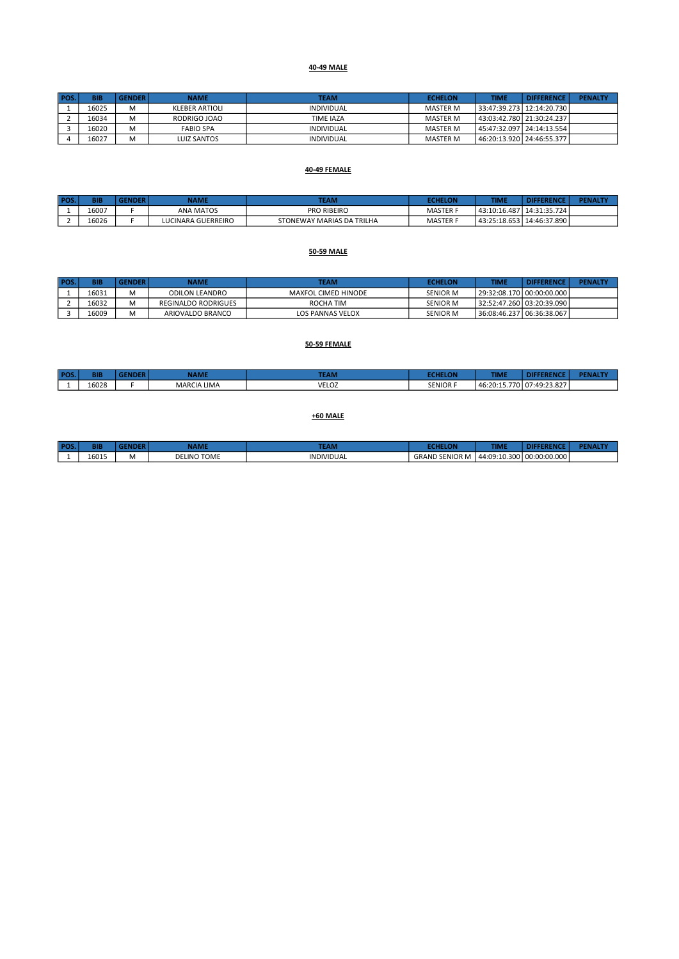#### 40-49 MALE

| <b>POS</b> | <b>BIB</b> | <b>GENDER</b> | <b>NAME</b>      | <b>TEAM</b>      | <b>ECHELON</b> | TIME | <b>DIFFERENCE</b>           | <b>PENALTY</b> |
|------------|------------|---------------|------------------|------------------|----------------|------|-----------------------------|----------------|
|            | 16025      | M             | KLEBER ARTIOLI   | INDIVIDUAL       | MASTER M       |      | 33:47:39.273   12:14:20.730 |                |
|            | 16034      | M             | RODRIGO JOAO     | <b>TIME IAZA</b> | MASTER M       |      | 43:03:42.780   21:30:24.237 |                |
|            | 16020      | M             | <b>FABIO SPA</b> | INDIVIDUAL       | MASTER M       |      | 45:47:32.097   24:14:13.554 |                |
|            | 16027      | M             | LUIZ SANTOS      | INDIVIDUAL       | MASTER M       |      | 46:20:13.920 24:46:55.377   |                |

#### 40-49 FEMALE

| <b>POS</b> | BIB   | ÆR | <b>NAME</b>        | <b>TEAM</b>               | FCHELON         | TIME         | <b>DIFFERENCE</b> | <b>PENALTY</b> |
|------------|-------|----|--------------------|---------------------------|-----------------|--------------|-------------------|----------------|
|            | 16007 |    | <b>ANA MATOS</b>   | <b>PRO RIBEIRO</b>        | MASTER F        | 43:10:16.487 | 14:31:35.724      |                |
|            | 16026 |    | LUCINARA GUERREIRO | STONEWAY MARIAS DA TRILHA | <b>MASTER F</b> | 43:25:18.653 | 14:46:37.890      |                |

#### 50-59 MALE

| POS. | <b>BIB</b> | <b>GENDER</b>        | NAME                       | <b>TEAM</b>         | <b>ECHELON</b>  | TIME | <b>DIFFERENCE</b>               | <b>PENALTY</b> |
|------|------------|----------------------|----------------------------|---------------------|-----------------|------|---------------------------------|----------------|
|      | 16031      | . .                  | ODILON LEANDRO             | MAXFOL CIMED HINODE | <b>SENIOR M</b> |      | 29:32:08.170   00:00:00.000     |                |
|      | 16032      | . .                  | <b>REGINALDO RODRIGUES</b> | ROCHA TIM           | <b>SENIOR M</b> |      | l 32:52:47.260 l 03:20:39.090 l |                |
|      | 16009      | $\ddot{\phantom{a}}$ | ARIOVALDO BRANCO           | LOS PANNAS VELOX    | <b>SENIOR M</b> |      | 36:08:46.237   06:36:38.067     |                |

## 50-59 FEMALE

| <b>POS</b> | BIB   | <b>NAME</b>        | <b>TEAM</b> | <b>CALLELAN</b> | <b>TIME</b>  | ЛF                                        | <b>DEMI</b> |
|------------|-------|--------------------|-------------|-----------------|--------------|-------------------------------------------|-------------|
|            | 16028 | <b>MARCIA LIMA</b> | VELOZ       | <b>SENIOR F</b> | 46:20:15.770 | .11.49.23827<br>49.23.827<br>$\mathbf{u}$ |             |

#### +60 MALE

| <b>POS</b> | <b>BIE</b> |            | <b>CARACTER</b><br><b>AML</b> | <b>The Alaska</b><br><b>TEAL</b> |                    | TIMI                      |              |  |
|------------|------------|------------|-------------------------------|----------------------------------|--------------------|---------------------------|--------------|--|
|            | 16015      | <b>IVI</b> | <b>DELINO TOME</b>            | <b>INDIVIDUAL</b>                | GRAND<br>`SENIOR M | 44:09<br>:10.300<br>.1.10 | 00:00:00.000 |  |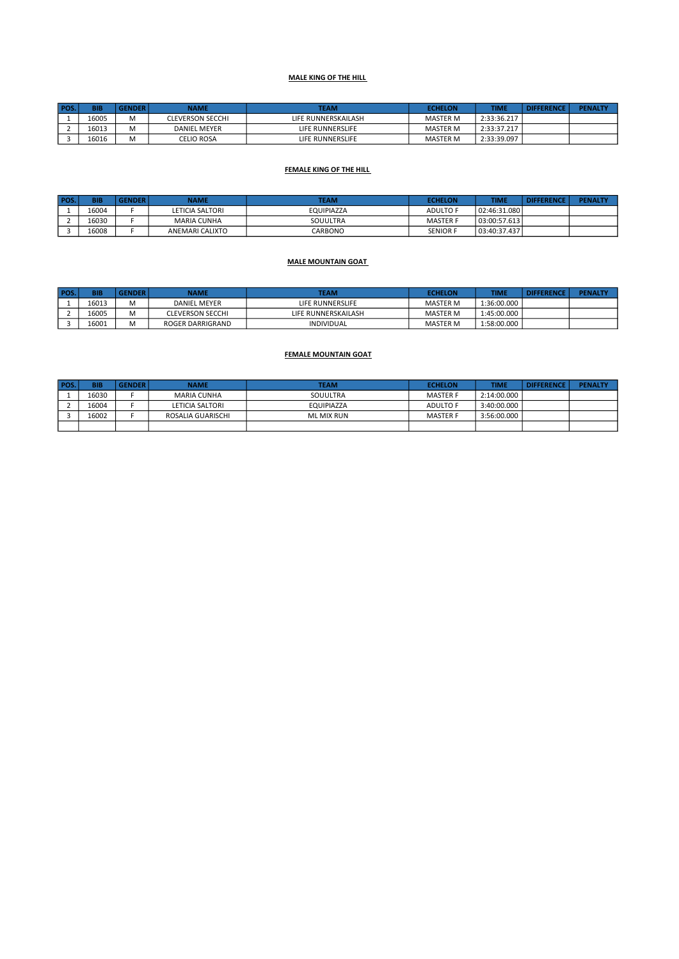## MALE KING OF THE HILL

| <b>POS</b> | BIB   | <b>GENDER</b> | NAME                    | <b>TEAM</b>             | <b>ECHELON</b>  | TIME        | <b>DIFFERENCE</b> | <b>PENALTY</b> |
|------------|-------|---------------|-------------------------|-------------------------|-----------------|-------------|-------------------|----------------|
|            | 16005 | M             | <b>CLEVERSON SECCHI</b> | LIFE RUNNERSKAILASH     | <b>MASTER M</b> | 2:33:36.217 |                   |                |
|            | 16013 | M             | <b>DANIEL MEYER</b>     | LIFE RUNNERSLIFE        | MASTER M        | 2:33:37.217 |                   |                |
|            | 16016 | M             | <b>CELIO ROSA</b>       | <b>LIFE RUNNERSLIFE</b> | <b>MASTER M</b> | 2:33:39.097 |                   |                |

#### FEMALE KING OF THE HILL

| POS. | <b>BIB</b> | <b>GENDER</b> | NAME               | <b>TEAM</b>       | <b>ECHELON</b>  | TIME         | <b>DIFFERENCE</b> | <b>PENALTY</b> |
|------|------------|---------------|--------------------|-------------------|-----------------|--------------|-------------------|----------------|
|      | 16004      |               | LETICIA SALTORI    | <b>EQUIPIAZZA</b> | <b>ADULTO F</b> | 02:46:31.080 |                   |                |
|      | 16030      |               | <b>MARIA CUNHA</b> | SOUULTRA          | <b>MASTER F</b> | 03:00:57.613 |                   |                |
|      | 16008      |               | ANEMARI CALIXTO    | CARBONO           | <b>SENIOR F</b> | 03:40:37.437 |                   |                |

#### MALE MOUNTAIN GOAT

| POS. | <b>BIB</b> | <b>GENDER</b> | NAME                    | <b>TEAM</b>         | <b>ECHELON</b>  | <b>TIME</b> | <b>DIFFERENCE</b> | <b>PENALTY</b> |
|------|------------|---------------|-------------------------|---------------------|-----------------|-------------|-------------------|----------------|
|      | 16013      |               | <b>DANIEL MEYER</b>     | LIFE RUNNERSLIFE    | <b>MASTER M</b> | 1:36:00.000 |                   |                |
|      | 16005      |               | <b>CLEVERSON SECCHI</b> | LIFE RUNNERSKAILASH | <b>MASTER M</b> | 1:45:00.000 |                   |                |
|      | 16001      | ۸۸            | ROGER DARRIGRAND        | <b>INDIVIDUAL</b>   | <b>MASTER M</b> | 1:58:00.000 |                   |                |

#### FEMALE MOUNTAIN GOAT

| <b>POS</b> | <b>BIB</b> | <b>GENDER</b> | <b>NAME</b>       | <b>TEAM</b> | <b>ECHELON</b>  | <b>TIME</b> | <b>DIFFERENCE</b> | <b>PENALTY</b> |
|------------|------------|---------------|-------------------|-------------|-----------------|-------------|-------------------|----------------|
|            | 16030      |               | MARIA CUNHA       | SOUULTRA    | <b>MASTER F</b> | 2:14:00.000 |                   |                |
|            | 16004      |               | LETICIA SALTORI   | EQUIPIAZZA  | ADULTO F        | 3:40:00.000 |                   |                |
|            | 16002      |               | ROSALIA GUARISCHI | ML MIX RUN  | <b>MASTER F</b> | 3:56:00.000 |                   |                |
|            |            |               |                   |             |                 |             |                   |                |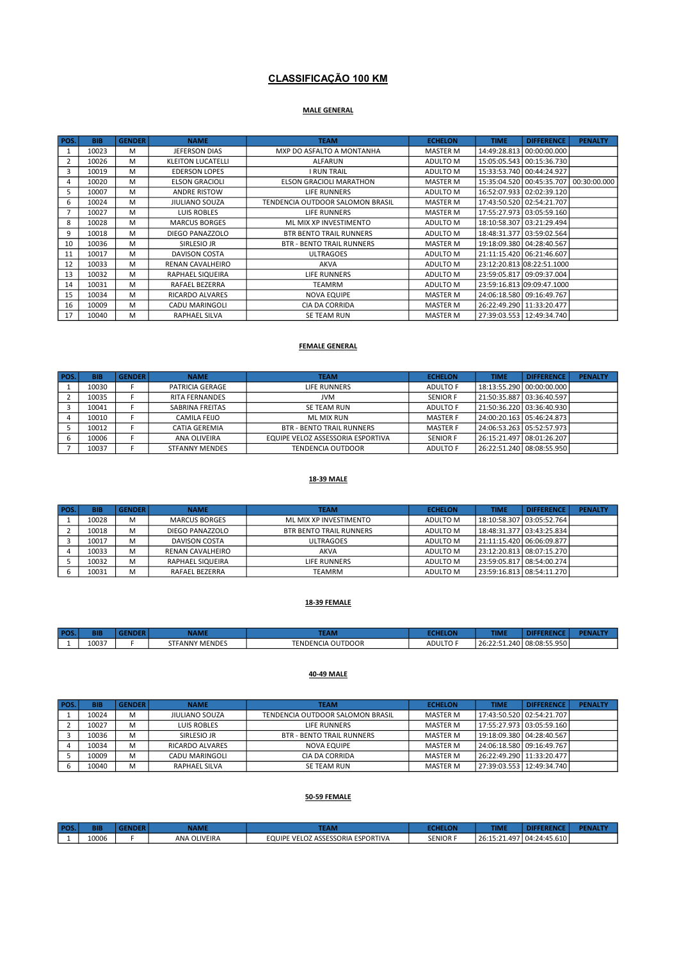## CLASSIFICAÇÃO 100 KM

## MALE GENERAL

| POS. | <b>BIB</b> | <b>GENDER</b> | <b>NAME</b>              | <b>TEAM</b>                      | <b>ECHELON</b>  | <b>TIME</b> | <b>DIFFERENCE</b>           | <b>PENALTY</b> |
|------|------------|---------------|--------------------------|----------------------------------|-----------------|-------------|-----------------------------|----------------|
|      | 10023      | M             | <b>JEFERSON DIAS</b>     | MXP DO ASFALTO A MONTANHA        | <b>MASTER M</b> |             | 14:49:28.813 00:00:00.000   |                |
| 2    | 10026      | M             | <b>KLEITON LUCATELLI</b> | ALFARUN                          | ADULTO M        |             | 15:05:05.543 00:15:36.730   |                |
| 3    | 10019      | M             | <b>EDERSON LOPES</b>     | <b>I RUN TRAIL</b>               | ADULTO M        |             | 15:33:53.740 00:44:24.927   |                |
| 4    | 10020      | M             | <b>ELSON GRACIOLI</b>    | <b>ELSON GRACIOLI MARATHON</b>   | <b>MASTER M</b> |             | 15:35:04.520 00:45:35.707   | 00:30:00.000   |
| 5    | 10007      | M             | <b>ANDRE RISTOW</b>      | LIFE RUNNERS                     | ADULTO M        |             | 16:52:07.933 02:02:39.120   |                |
| 6    | 10024      | M             | <b>JIULIANO SOUZA</b>    | TENDENCIA OUTDOOR SALOMON BRASIL | <b>MASTER M</b> |             | 17:43:50.520 02:54:21.707   |                |
|      | 10027      | M             | LUIS ROBLES              | LIFE RUNNERS                     | <b>MASTER M</b> |             | 17:55:27.973   03:05:59.160 |                |
| 8    | 10028      | M             | <b>MARCUS BORGES</b>     | ML MIX XP INVESTIMENTO           | ADULTO M        |             | 18:10:58.307 03:21:29.494   |                |
| 9    | 10018      | M             | DIEGO PANAZZOLO          | <b>BTR BENTO TRAIL RUNNERS</b>   | ADULTO M        |             | 18:48:31.377 03:59:02.564   |                |
| 10   | 10036      | M             | SIRLESIO JR              | <b>BTR - BENTO TRAIL RUNNERS</b> | <b>MASTER M</b> |             | 19:18:09.380 04:28:40.567   |                |
| 11   | 10017      | M             | DAVISON COSTA            | <b>ULTRAGOES</b>                 | ADULTO M        |             | 21:11:15.420 06:21:46.607   |                |
| 12   | 10033      | M             | RENAN CAVALHEIRO         | AKVA                             | ADULTO M        |             | 23:12:20.813 08:22:51.1000  |                |
| 13   | 10032      | M             | RAPHAEL SIQUEIRA         | LIFE RUNNERS                     | ADULTO M        |             | 23:59:05.817 09:09:37.004   |                |
| 14   | 10031      | M             | RAFAEL BEZERRA           | <b>TEAMRM</b>                    | ADULTO M        |             | 23:59:16.813 09:09:47.1000  |                |
| 15   | 10034      | M             | RICARDO ALVARES          | <b>NOVA EQUIPE</b>               | <b>MASTER M</b> |             | 24:06:18.580 09:16:49.767   |                |
| 16   | 10009      | M             | CADU MARINGOLI           | CIA DA CORRIDA                   | <b>MASTER M</b> |             | 26:22:49.290   11:33:20.477 |                |
| 17   | 10040      | M             | RAPHAEL SILVA            | <b>SE TEAM RUN</b>               | <b>MASTER M</b> |             | 27:39:03.553   12:49:34.740 |                |

#### FEMALE GENERAL

| POS. | <b>BIB</b> | <b>GENDER</b> | <b>NAME</b>           | <b>TEAM</b>                       | <b>ECHELON</b>  | <b>TIME</b>                 | <b>DIFFERENCE</b>           | <b>PENALTY</b> |
|------|------------|---------------|-----------------------|-----------------------------------|-----------------|-----------------------------|-----------------------------|----------------|
|      | 10030      |               | PATRICIA GERAGE       | LIFE RUNNERS                      | ADULTO F        |                             | 18:13:55.290   00:00:00.000 |                |
|      | 10035      |               | <b>RITA FERNANDES</b> | <b>JVM</b>                        | <b>SENIOR F</b> |                             | 21:50:35.887   03:36:40.597 |                |
|      | 10041      |               | SABRINA FREITAS       | SE TEAM RUN                       | ADULTO F        |                             | 21:50:36.220 03:36:40.930   |                |
|      | 10010      |               | CAMILA FELIO          | ML MIX RUN                        | <b>MASTER F</b> |                             | 24:00:20.163   05:46:24.873 |                |
|      | 10012      |               | CATIA GEREMIA         | <b>BTR - BENTO TRAIL RUNNERS</b>  | <b>MASTER F</b> |                             | 24:06:53.263   05:52:57.973 |                |
|      | 10006      |               | ANA OLIVEIRA          | EQUIPE VELOZ ASSESSORIA ESPORTIVA | <b>SENIOR F</b> | 26:15:21.497   08:01:26.207 |                             |                |
|      | 10037      |               | <b>STFANNY MENDES</b> | TENDENCIA OUTDOOR                 | ADULTO F        | 26:22:51.240   08:08:55.950 |                             |                |

#### 18-39 MALE

| POS. | <b>BIB</b> | <b>GENDER</b> | <b>NAME</b>          | <b>TEAM</b>             | <b>ECHELON</b> | <b>TIME</b> | <b>DIFFERENCE</b>           | <b>PENALTY</b> |
|------|------------|---------------|----------------------|-------------------------|----------------|-------------|-----------------------------|----------------|
|      | 10028      | M             | <b>MARCUS BORGES</b> | ML MIX XP INVESTIMENTO  | ADULTO M       |             | 18:10:58.307   03:05:52.764 |                |
|      | 10018      | M             | DIEGO PANAZZOLO      | BTR BENTO TRAIL RUNNERS | ADULTO M       |             | 18:48:31.377   03:43:25.834 |                |
|      | 10017      | M             | DAVISON COSTA        | <b>ULTRAGOES</b>        | ADULTO M       |             | 21:11:15.420   06:06:09.877 |                |
|      | 10033      | м             | RENAN CAVALHEIRO     | AKVA                    | ADULTO M       |             | 23:12:20.813   08:07:15.270 |                |
|      | 10032      | M             | RAPHAEL SIQUEIRA     | LIFE RUNNERS            | ADULTO M       |             | 23:59:05.817   08:54:00.274 |                |
|      | 10031      | M             | RAFAEL BEZERRA       | <b>TEAMRM</b>           | ADULTO M       |             | 23:59:16.813   08:54:11.270 |                |

#### 18-39 FEMALE

| POS. | ЗIЕ   | <b>VAME</b>           | <b>TEAN.</b>             | .             | <b>TIME</b>  |              | <b>PENALTY</b> |
|------|-------|-----------------------|--------------------------|---------------|--------------|--------------|----------------|
|      | 10037 | <b>STFANNY MENDES</b> | <b>TENDENCIA OUTDOOR</b> | <b>ADULTO</b> | 26:22:51.240 | 08:08:55.950 |                |

#### 40-49 MALE

| POS. | <b>BIB</b> | <b>GENDER</b> | <b>NAME</b>     | <b>TEAM</b>                      | <b>ECHELON</b> | <b>TIME</b> | <b>DIFFERENCE</b>           | <b>PENALTY</b> |
|------|------------|---------------|-----------------|----------------------------------|----------------|-------------|-----------------------------|----------------|
|      | 10024      | M             | JIULIANO SOUZA  | TENDENCIA OUTDOOR SALOMON BRASIL | MASTER M       |             | 17:43:50.520   02:54:21.707 |                |
|      | 10027      | M             | LUIS ROBLES     | LIFE RUNNERS                     | MASTER M       |             | 17:55:27.973   03:05:59.160 |                |
|      | 10036      | M             | SIRLESIO JR     | <b>BTR - BENTO TRAIL RUNNERS</b> | MASTER M       |             | 19:18:09.380   04:28:40.567 |                |
|      | 10034      | м             | RICARDO ALVARES | NOVA EQUIPE                      | MASTER M       |             | 24:06:18.580   09:16:49.767 |                |
|      | 10009      | M             | CADU MARINGOLI  | CIA DA CORRIDA                   | MASTER M       |             | 26:22:49.290 11:33:20.477   |                |
|      | 10040      | M             | RAPHAEL SILVA   | SE TEAM RUN                      | MASTER M       |             | 27:39:03.553   12:49:34.740 |                |

## 50-59 FEMALE

| DOS |       | NAME         | <b>TEAM</b>                       | <b>CHELON</b>   | TIME |                             | <b>PENAL</b> |
|-----|-------|--------------|-----------------------------------|-----------------|------|-----------------------------|--------------|
|     | 10006 | ANA OLIVEIRA | EQUIPE VELOZ ASSESSORIA ESPORTIVA | <b>SENIOR F</b> |      | 26:15:21.497   04:24:45.610 |              |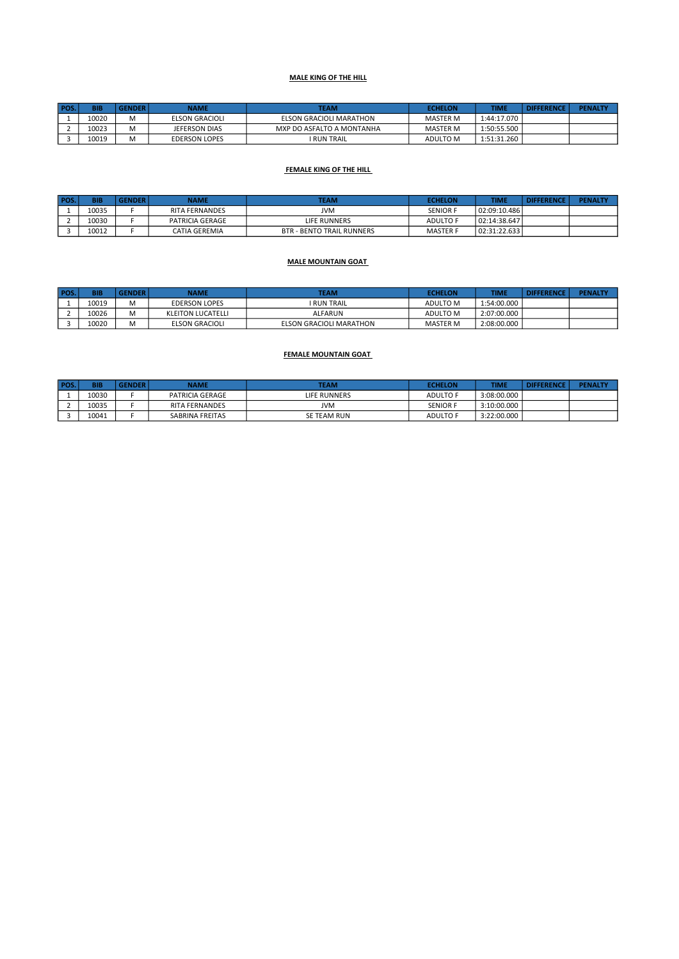#### MALE KING OF THE HILL

| <b>POS</b> | <b>BIB</b> | <b>GENDER</b> | NAME                  | <b>TEAM</b>               | <b>ECHELON</b>  | TIME        | <b>DIFFERENCE</b> | <b>PENALTY</b> |
|------------|------------|---------------|-----------------------|---------------------------|-----------------|-------------|-------------------|----------------|
|            | 10020      | M             | <b>ELSON GRACIOLI</b> | ELSON GRACIOLI MARATHON   | MASTER M        | 1:44:17.070 |                   |                |
|            | 10023      | м             | JEFERSON DIAS         | MXP DO ASFALTO A MONTANHA | <b>MASTER M</b> | 1:50:55.500 |                   |                |
|            | 10019      | M             | <b>EDERSON LOPES</b>  | I RUN TRAIL               | ADULTO M        | 1:51:31.260 |                   |                |

#### FEMALE KING OF THE HILL

| POS. | <b>BIB</b> | <b>GENDER</b> | NAME                  | <b>TEAM</b>                      | <b>ECHELON</b>  | <b>TIME</b>  | <b>DIFFERENCE</b> | <b>PENALTY</b> |
|------|------------|---------------|-----------------------|----------------------------------|-----------------|--------------|-------------------|----------------|
|      | 10035      |               | <b>RITA FERNANDES</b> | JVM                              | <b>SENIOR F</b> | 02:09:10.486 |                   |                |
|      | 10030      |               | PATRICIA GERAGE       | LIFE RUNNERS                     | ADULTO F        | 02:14:38.647 |                   |                |
|      | 10012      |               | CATIA GEREMIA         | <b>BTR - BENTO TRAIL RUNNERS</b> | <b>MASTER F</b> | 02:31:22.633 |                   |                |

#### MALE MOUNTAIN GOAT

| POS. | <b>BIB</b> | <b>GENDER</b> | NAME                 | TEAM                    | <b>ECHELON</b>  | <b>TIME</b> | <b>DIFFERENCE</b> | <b>PENALTY</b> |
|------|------------|---------------|----------------------|-------------------------|-----------------|-------------|-------------------|----------------|
|      | 10019      |               | <b>EDERSON LOPES</b> | <b>I RUN TRAIL</b>      | <b>ADULTO M</b> | 1:54:00.000 |                   |                |
|      | 10026      | A             | KLEITON LUCATELLI    | ALFARUN                 | <b>ADULTO M</b> | 2:07:00.000 |                   |                |
|      | 10020      | A             | ELSON GRACIOLI       | ELSON GRACIOLI MARATHON | <b>MASTER M</b> | 2:08:00.000 |                   |                |

#### FEMALE MOUNTAIN GOAT

| <b>POS</b> | <b>BIB</b> | <b>SENDER</b> | NAME                  | <b>TEAM</b>  | <b>ECHELON</b>  | TIME        | <b>DIFFERENCE</b> | <b>PENALTY</b> |
|------------|------------|---------------|-----------------------|--------------|-----------------|-------------|-------------------|----------------|
|            | 10030      |               | PATRICIA GERAGE       | LIFE RUNNERS | <b>ADULTO F</b> | 3:08:00.000 |                   |                |
|            | 10035      |               | <b>RITA FERNANDES</b> | JVM          | <b>SENIOR F</b> | 3:10:00.000 |                   |                |
|            | 10041      |               | SABRINA FREITAS       | SE TEAM RUN  | <b>ADULTO F</b> | 3:22:00.000 |                   |                |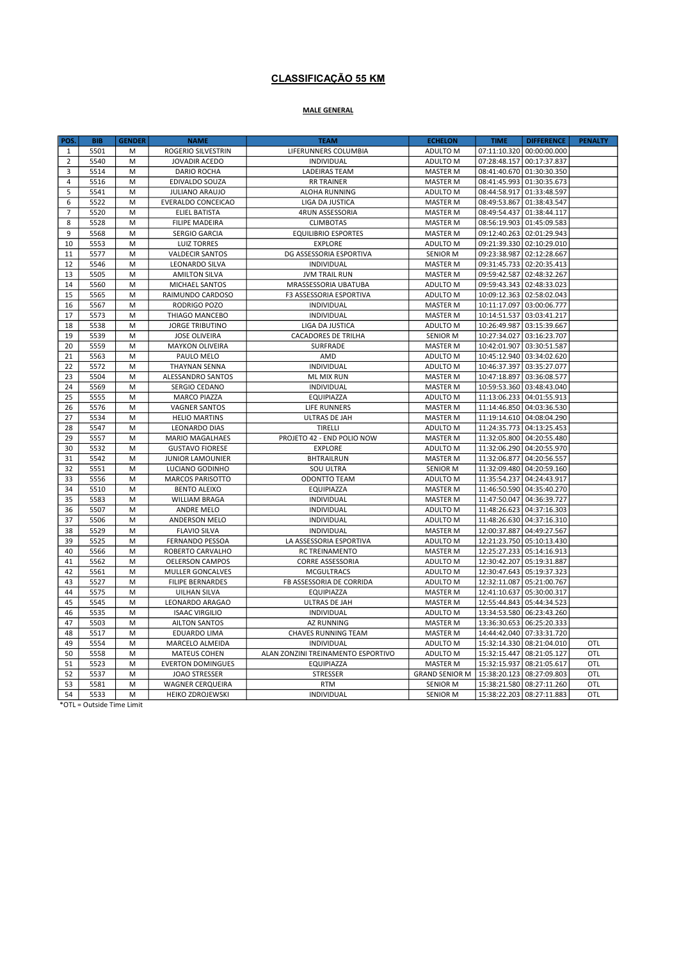## CLASSIFICAÇÃO 55 KM

## MALE GENERAL

| POS.           | <b>BIB</b>   | <b>GENDER</b> | <b>NAME</b>                                    | <b>TEAM</b>                                  | <b>ECHELON</b>                     | <b>TIME</b>               | <b>DIFFERENCE</b>                                      | <b>PENALTY</b> |
|----------------|--------------|---------------|------------------------------------------------|----------------------------------------------|------------------------------------|---------------------------|--------------------------------------------------------|----------------|
| $\mathbf{1}$   | 5501         | M             | ROGERIO SILVESTRIN                             | LIFERUNNERS COLUMBIA                         | ADULTO M                           | 07:11:10.320              | 00:00:00.000                                           |                |
| $\overline{2}$ | 5540         | M             | JOVADIR ACEDO                                  | <b>INDIVIDUAL</b>                            | ADULTO M                           | 07:28:48.157              | 00:17:37.837                                           |                |
| 3              | 5514         | M             | <b>DARIO ROCHA</b>                             | <b>LADEIRAS TEAM</b>                         | <b>MASTER M</b>                    | 08:41:40.670              | 01:30:30.350                                           |                |
| $\overline{4}$ | 5516         | M             | EDIVALDO SOUZA                                 | <b>RR TRAINER</b>                            | <b>MASTER M</b>                    |                           | 08:41:45.993 01:30:35.673                              |                |
| 5              | 5541         | M             | <b>JULIANO ARAUJO</b>                          | <b>ALOHA RUNNING</b>                         | ADULTO M                           |                           | 08:44:58.917 01:33:48.597                              |                |
| 6              | 5522         | M             | EVERALDO CONCEICAO                             | LIGA DA JUSTICA                              | <b>MASTER M</b>                    |                           | 08:49:53.867 01:38:43.547                              |                |
| $\overline{7}$ | 5520         | M             | <b>ELIEL BATISTA</b>                           | 4RUN ASSESSORIA                              | <b>MASTER M</b>                    |                           | 08:49:54.437 01:38:44.117                              |                |
| 8              | 5528         | M             | <b>FILIPE MADEIRA</b>                          | <b>CLIMBOTAS</b>                             | <b>MASTER M</b>                    |                           | 08:56:19.903 01:45:09.583                              |                |
| 9              | 5568         | M             | <b>SERGIO GARCIA</b>                           | <b>EQUILIBRIO ESPORTES</b>                   | <b>MASTER M</b>                    |                           | 09:12:40.263   02:01:29.943                            |                |
| 10             | 5553         | M             | <b>LUIZ TORRES</b>                             | <b>EXPLORE</b>                               | ADULTO M                           |                           | 09:21:39.330 02:10:29.010                              |                |
| 11             | 5577         | M             | <b>VALDECIR SANTOS</b>                         | DG ASSESSORIA ESPORTIVA                      | <b>SENIOR M</b>                    | 09:23:38.987 02:12:28.667 |                                                        |                |
| 12             | 5546         | M             | LEONARDO SILVA                                 | INDIVIDUAL                                   | <b>MASTER M</b>                    |                           | 09:31:45.733   02:20:35.413                            |                |
| 13             | 5505         | M             | <b>AMILTON SILVA</b>                           | <b>JVM TRAIL RUN</b>                         | <b>MASTER M</b>                    |                           | 09:59:42.587 02:48:32.267                              |                |
| 14             | 5560         | M             | MICHAEL SANTOS                                 | MRASSESSORIA UBATUBA                         | ADULTO M                           |                           | 09:59:43.343 02:48:33.023                              |                |
| 15             | 5565         | M             | RAIMUNDO CARDOSO                               | F3 ASSESSORIA ESPORTIVA                      | ADULTO M                           |                           | 10:09:12.363 02:58:02.043                              |                |
| 16             | 5567         | M             | RODRIGO POZO                                   | INDIVIDUAL                                   | <b>MASTER M</b>                    |                           | 10:11:17.097 03:00:06.777                              |                |
| 17             | 5573         | M             | THIAGO MANCEBO                                 | INDIVIDUAL                                   | <b>MASTER M</b>                    | 10:14:51.537              | 03:03:41.217                                           |                |
| 18             | 5538         | M             | <b>JORGE TRIBUTINO</b>                         | LIGA DA JUSTICA                              | ADULTO M                           | 10:26:49.987 03:15:39.667 |                                                        |                |
| 19             | 5539         | M             | <b>JOSE OLIVEIRA</b>                           | <b>CACADORES DE TRILHA</b>                   | <b>SENIOR M</b>                    |                           | 10:27:34.027 03:16:23.707                              |                |
| 20             | 5559         | M             | <b>MAYKON OLIVEIRA</b>                         | SURFRADE                                     | <b>MASTER M</b>                    |                           | 10:42:01.907 03:30:51.587                              |                |
| 21             | 5563         | M             | PAULO MELO                                     | AMD                                          | ADULTO M                           |                           | 10:45:12.940 03:34:02.620                              |                |
| 22             | 5572         | M             | <b>THAYNAN SENNA</b>                           | INDIVIDUAL                                   | ADULTO M                           |                           | 10:46:37.397 03:35:27.077                              |                |
| 23             | 5504         | M             | ALESSANDRO SANTOS                              | ML MIX RUN                                   | <b>MASTER M</b>                    |                           | 10:47:18.897 03:36:08.577                              |                |
| 24             | 5569         | M             | SERGIO CEDANO                                  | INDIVIDUAL                                   | <b>MASTER M</b>                    |                           | 10:59:53.360 03:48:43.040                              |                |
| 25             | 5555         | M             | <b>MARCO PIAZZA</b>                            | EQUIPIAZZA                                   | ADULTO M                           |                           | 11:13:06.233 04:01:55.913                              |                |
| 26             | 5576         | M             | <b>VAGNER SANTOS</b>                           | LIFE RUNNERS                                 | <b>MASTER M</b>                    |                           | 11:14:46.850 04:03:36.530                              |                |
| 27             | 5534         | M             | <b>HELIO MARTINS</b>                           | ULTRAS DE JAH                                | <b>MASTER M</b>                    |                           | 11:19:14.610 04:08:04.290                              |                |
| 28<br>29       | 5547<br>5557 | M<br>M        | <b>LEONARDO DIAS</b><br><b>MARIO MAGALHAES</b> | <b>TIRELLI</b><br>PROJETO 42 - END POLIO NOW | ADULTO M<br><b>MASTER M</b>        |                           | 11:24:35.773 04:13:25.453<br>11:32:05.800 04:20:55.480 |                |
| 30             | 5532         |               | <b>GUSTAVO FIORESE</b>                         | <b>EXPLORE</b>                               | ADULTO M                           |                           | 11:32:06.290 04:20:55.970                              |                |
| 31             | 5542         | M<br>M        | <b>JUNIOR LAMOUNIER</b>                        | <b>BHTRAILRUN</b>                            |                                    | 11:32:06.877              | 04:20:56.557                                           |                |
| 32             | 5551         | M             | LUCIANO GODINHO                                | SOU ULTRA                                    | <b>MASTER M</b><br><b>SENIOR M</b> |                           | 11:32:09.480   04:20:59.160                            |                |
| 33             | 5556         | M             | <b>MARCOS PARISOTTO</b>                        | <b>ODONTTO TEAM</b>                          | ADULTO M                           |                           | 11:35:54.237 04:24:43.917                              |                |
| 34             | 5510         | M             | <b>BENTO ALEIXO</b>                            | EQUIPIAZZA                                   | <b>MASTER M</b>                    | 11:46:50.590              | 04:35:40.270                                           |                |
| 35             | 5583         | M             | <b>WILLIAM BRAGA</b>                           | INDIVIDUAL                                   | <b>MASTER M</b>                    |                           | 11:47:50.047 04:36:39.727                              |                |
| 36             | 5507         | M             | <b>ANDRE MELO</b>                              | INDIVIDUAL                                   | ADULTO M                           |                           | 11:48:26.623 04:37:16.303                              |                |
| 37             | 5506         | M             | ANDERSON MELO                                  | INDIVIDUAL                                   | ADULTO M                           |                           | 11:48:26.630 04:37:16.310                              |                |
| 38             | 5529         | M             | <b>FLAVIO SILVA</b>                            | <b>INDIVIDUAL</b>                            | <b>MASTER M</b>                    |                           | 12:00:37.887 04:49:27.567                              |                |
| 39             | 5525         | M             | FERNANDO PESSOA                                | LA ASSESSORIA ESPORTIVA                      | ADULTO M                           |                           | 12:21:23.750 05:10:13.430                              |                |
| 40             | 5566         | M             | ROBERTO CARVALHO                               | <b>RC TREINAMENTO</b>                        | <b>MASTER M</b>                    |                           | 12:25:27.233   05:14:16.913                            |                |
| 41             | 5562         | M             | <b>OELERSON CAMPOS</b>                         | <b>CORRE ASSESSORIA</b>                      | ADULTO M                           | 12:30:42.207              | 05:19:31.887                                           |                |
| 42             | 5561         | M             | <b>MULLER GONCALVES</b>                        | <b>MCGULTRACS</b>                            | ADULTO M                           |                           | 12:30:47.643 05:19:37.323                              |                |
| 43             | 5527         | M             | <b>FILIPE BERNARDES</b>                        | FB ASSESSORIA DE CORRIDA                     | ADULTO M                           | 12:32:11.087              | 05:21:00.767                                           |                |
| 44             | 5575         | M             | <b>UILHAN SILVA</b>                            | <b>EQUIPIAZZA</b>                            | MASTER M                           | 12:41:10.637              | 05:30:00.317                                           |                |
| 45             | 5545         | M             | LEONARDO ARAGAO                                | <b>ULTRAS DE JAH</b>                         | <b>MASTER M</b>                    | 12:55:44.843              | 05:44:34.523                                           |                |
| 46             | 5535         | M             | <b>ISAAC VIRGILIO</b>                          | INDIVIDUAL                                   | ADULTO M                           |                           | 13:34:53.580 06:23:43.260                              |                |
| 47             | 5503         | M             | <b>AILTON SANTOS</b>                           | <b>AZ RUNNING</b>                            | <b>MASTER M</b>                    |                           | 13:36:30.653   06:25:20.333                            |                |
| 48             | 5517         | M             | EDUARDO LIMA                                   | <b>CHAVES RUNNING TEAM</b>                   | <b>MASTER M</b>                    | 14:44:42.040              | 07:33:31.720                                           |                |
| 49             | 5554         | M             | MARCELO ALMEIDA                                | <b>INDIVIDUAL</b>                            | ADULTO M                           |                           | 15:32:14.330 08:21:04.010                              | OTL            |
| 50             | 5558         | M             | <b>MATEUS COHEN</b>                            | ALAN ZONZINI TREINAMENTO ESPORTIVO           | ADULTO M                           | 15:32:15.447              | 08:21:05.127                                           | OTL            |
| 51             | 5523         | M             | <b>EVERTON DOMINGUES</b>                       | EQUIPIAZZA                                   | <b>MASTER M</b>                    | 15:32:15.937              | 08:21:05.617                                           | OTL            |
| 52             | 5537         | M             | <b>JOAO STRESSER</b>                           | <b>STRESSER</b>                              | <b>GRAND SENIOR M</b>              | 15:38:20.123              | 08:27:09.803                                           | OTL            |
| 53             | 5581         | M             | <b>WAGNER CERQUEIRA</b>                        | <b>RTM</b>                                   | <b>SENIOR M</b>                    | 15:38:21.580              | 08:27:11.260                                           | OTL            |
| 54             | 5533         | M             | <b>HEIKO ZDROJEWSKI</b>                        | INDIVIDUAL                                   | <b>SENIOR M</b>                    |                           | 15:38:22.203 08:27:11.883                              | OTL            |

\*OTL = Outside Time Limit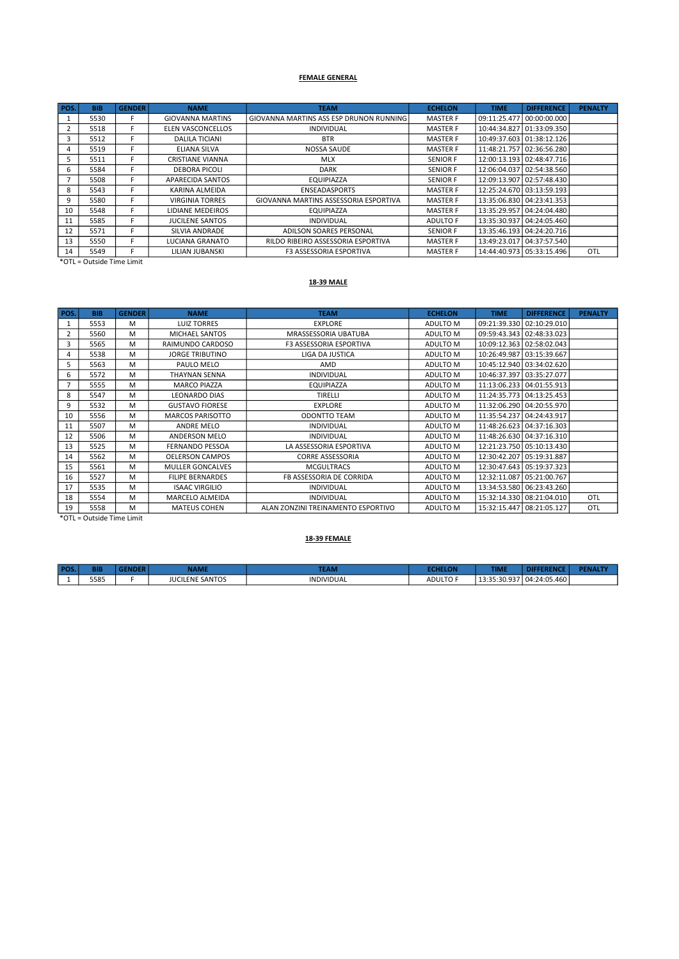#### FEMALE GENERAL

| POS. | <b>BIB</b> | <b>GENDER</b> | <b>NAME</b>              | <b>TEAM</b>                             | <b>ECHELON</b>  | <b>TIME</b>                 | <b>DIFFERENCE</b>           | <b>PENALTY</b> |
|------|------------|---------------|--------------------------|-----------------------------------------|-----------------|-----------------------------|-----------------------------|----------------|
|      | 5530       |               | <b>GIOVANNA MARTINS</b>  | GIOVANNA MARTINS ASS ESP DRUNON RUNNING | <b>MASTER F</b> | 09:11:25.477   00:00:00.000 |                             |                |
| 2    | 5518       | F.            | <b>ELEN VASCONCELLOS</b> | <b>INDIVIDUAL</b>                       | <b>MASTER F</b> |                             | 10:44:34.827 01:33:09.350   |                |
|      | 5512       | E.            | <b>DALILA TICIANI</b>    | <b>BTR</b>                              | <b>MASTER F</b> |                             | 10:49:37.603 01:38:12.126   |                |
| 4    | 5519       | F.            | ELIANA SILVA             | NOSSA SAUDE                             | <b>MASTER F</b> |                             | 11:48:21.757 02:36:56.280   |                |
|      | 5511       |               | <b>CRISTIANE VIANNA</b>  | <b>MLX</b>                              | <b>SENIOR F</b> |                             | 12:00:13.193 02:48:47.716   |                |
| 6    | 5584       |               | <b>DEBORA PICOLI</b>     | <b>DARK</b>                             | <b>SENIOR F</b> |                             | 12:06:04.037   02:54:38.560 |                |
|      | 5508       | F.            | APARECIDA SANTOS         | EQUIPIAZZA                              | <b>SENIOR F</b> |                             | 12:09:13.907 02:57:48.430   |                |
| 8    | 5543       | F.            | KARINA ALMEIDA           | <b>ENSEADASPORTS</b>                    | <b>MASTER F</b> |                             | 12:25:24.670 03:13:59.193   |                |
| 9    | 5580       | F.            | <b>VIRGINIA TORRES</b>   | GIOVANNA MARTINS ASSESSORIA ESPORTIVA   | <b>MASTER F</b> |                             | 13:35:06.830   04:23:41.353 |                |
| 10   | 5548       |               | LIDIANE MEDEIROS         | EQUIPIAZZA                              | <b>MASTER F</b> | 13:35:29.957 04:24:04.480   |                             |                |
| 11   | 5585       |               | <b>JUCILENE SANTOS</b>   | <b>INDIVIDUAL</b>                       | ADULTO F        |                             | 13:35:30.937   04:24:05.460 |                |
| 12   | 5571       |               | SILVIA ANDRADE           | ADILSON SOARES PERSONAL                 | <b>SENIOR F</b> |                             | 13:35:46.193 04:24:20.716   |                |
| 13   | 5550       |               | LUCIANA GRANATO          | RILDO RIBEIRO ASSESSORIA ESPORTIVA      | <b>MASTER F</b> |                             | 13:49:23.017 04:37:57.540   |                |
| 14   | 5549       | L.            | LILIAN JUBANSKI          | <b>F3 ASSESSORIA ESPORTIVA</b>          | <b>MASTER F</b> |                             | 14:44:40.973 05:33:15.496   | <b>OTL</b>     |

\*OTL = Outside Time Limit

#### 18-39 MALE

| POS.           | <b>BIB</b> | <b>GENDER</b> | <b>NAME</b>             | <b>TEAM</b>                        | <b>ECHELON</b> | <b>TIME</b>               | <b>DIFFERENCE</b>           | <b>PENALTY</b> |
|----------------|------------|---------------|-------------------------|------------------------------------|----------------|---------------------------|-----------------------------|----------------|
| 1              | 5553       | M             | <b>LUIZ TORRES</b>      | <b>EXPLORE</b>                     | ADULTO M       |                           | 09:21:39.330 02:10:29.010   |                |
| $\overline{2}$ | 5560       | M             | MICHAEL SANTOS          | MRASSESSORIA UBATUBA               | ADULTO M       |                           | 09:59:43.343 02:48:33.023   |                |
| 3              | 5565       | M             | RAIMUNDO CARDOSO        | <b>F3 ASSESSORIA ESPORTIVA</b>     | ADULTO M       |                           | 10:09:12.363 02:58:02.043   |                |
| 4              | 5538       | M             | <b>JORGE TRIBUTINO</b>  | <b>LIGA DA JUSTICA</b>             | ADULTO M       | 10:26:49.987 03:15:39.667 |                             |                |
| 5              | 5563       | M             | PAULO MELO              | AMD                                | ADULTO M       |                           | 10:45:12.940   03:34:02.620 |                |
| 6              | 5572       | M             | <b>THAYNAN SENNA</b>    | <b>INDIVIDUAL</b>                  | ADULTO M       | 10:46:37.397 03:35:27.077 |                             |                |
| $\overline{7}$ | 5555       | M             | <b>MARCO PIAZZA</b>     | EQUIPIAZZA                         | ADULTO M       |                           | 11:13:06.233   04:01:55.913 |                |
| 8              | 5547       | M             | <b>LEONARDO DIAS</b>    | TIRELLI                            | ADULTO M       |                           | 11:24:35.773 04:13:25.453   |                |
| 9              | 5532       | M             | <b>GUSTAVO FIORESE</b>  | <b>EXPLORE</b>                     | ADULTO M       | 11:32:06.290 04:20:55.970 |                             |                |
| 10             | 5556       | M             | <b>MARCOS PARISOTTO</b> | <b>ODONTTO TEAM</b>                | ADULTO M       | 11:35:54.237 04:24:43.917 |                             |                |
| 11             | 5507       | M             | ANDRE MELO              | <b>INDIVIDUAL</b>                  | ADULTO M       | 11:48:26.623 04:37:16.303 |                             |                |
| 12             | 5506       | M             | <b>ANDERSON MELO</b>    | <b>INDIVIDUAL</b>                  | ADULTO M       |                           | 11:48:26.630   04:37:16.310 |                |
| 13             | 5525       | M             | <b>FERNANDO PESSOA</b>  | LA ASSESSORIA ESPORTIVA            | ADULTO M       |                           | 12:21:23.750   05:10:13.430 |                |
| 14             | 5562       | M             | <b>OELERSON CAMPOS</b>  | <b>CORRE ASSESSORIA</b>            | ADULTO M       | 12:30:42.207 05:19:31.887 |                             |                |
| 15             | 5561       | M             | <b>MULLER GONCALVES</b> | <b>MCGULTRACS</b>                  | ADULTO M       | 12:30:47.643 05:19:37.323 |                             |                |
| 16             | 5527       | M             | <b>FILIPE BERNARDES</b> | FB ASSESSORIA DE CORRIDA           | ADULTO M       | 12:32:11.087 05:21:00.767 |                             |                |
| 17             | 5535       | M             | <b>ISAAC VIRGILIO</b>   | <b>INDIVIDUAL</b>                  | ADULTO M       |                           | 13:34:53.580   06:23:43.260 |                |
| 18             | 5554       | M             | MARCELO ALMEIDA         | <b>INDIVIDUAL</b>                  | ADULTO M       |                           | 15:32:14.330 08:21:04.010   | <b>OTL</b>     |
| 19             | 5558       | M             | <b>MATEUS COHEN</b>     | ALAN ZONZINI TREINAMENTO ESPORTIVO | ADULTO M       | 15:32:15.447 08:21:05.127 |                             | <b>OTL</b>     |

\*OTL = Outside Time Limit

## 18-39 FEMALE

| <b>DOC</b> | эιв  | - 13 | NAME                   | <b>TEAM</b>       | <b>CALLEY AN</b> | <b>START AND START</b><br>-IMI |              | <b>PENALTY</b> |
|------------|------|------|------------------------|-------------------|------------------|--------------------------------|--------------|----------------|
|            | 5585 |      | <b>JUCILENE SANTOS</b> | <b>INDIVIDUAL</b> | <b>ADULTO F</b>  | 027<br>13.33.30.937            | 04:24:05.460 |                |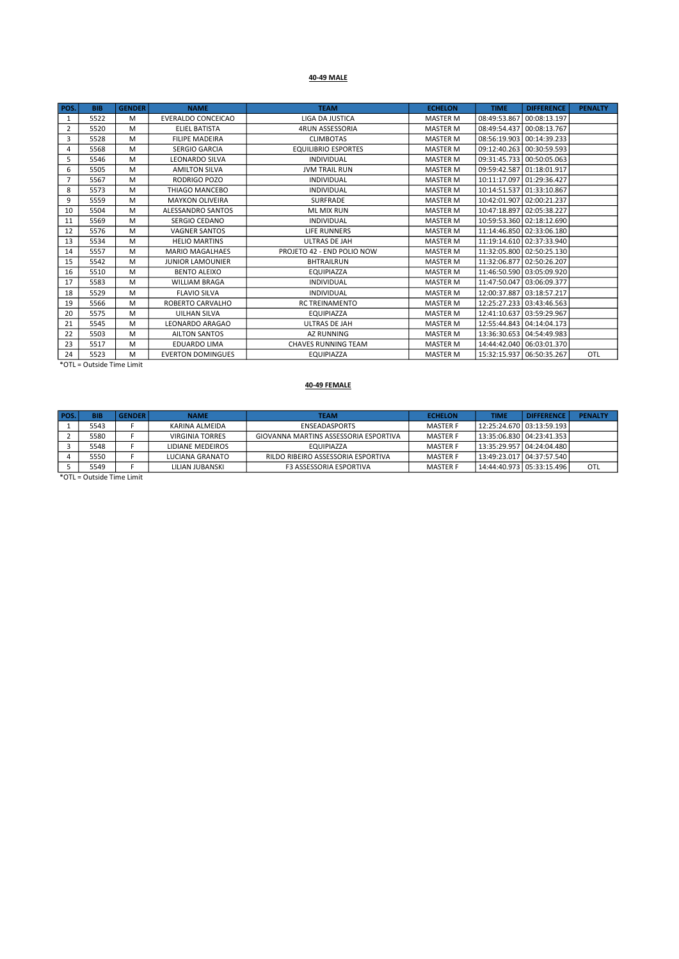## 40-49 MALE

| POS.           | <b>BIB</b> | <b>GENDER</b> | <b>NAME</b>               | <b>TEAM</b>                | <b>ECHELON</b>  | <b>TIME</b>               | <b>DIFFERENCE</b>           | <b>PENALTY</b> |
|----------------|------------|---------------|---------------------------|----------------------------|-----------------|---------------------------|-----------------------------|----------------|
| 1              | 5522       | M             | <b>EVERALDO CONCEICAO</b> | <b>LIGA DA JUSTICA</b>     | <b>MASTER M</b> | 08:49:53.867 00:08:13.197 |                             |                |
| $\overline{2}$ | 5520       | M             | <b>ELIEL BATISTA</b>      | <b>4RUN ASSESSORIA</b>     | <b>MASTER M</b> | 08:49:54.437 00:08:13.767 |                             |                |
| 3              | 5528       | M             | <b>FILIPE MADEIRA</b>     | <b>CLIMBOTAS</b>           | <b>MASTER M</b> |                           | 08:56:19.903 00:14:39.233   |                |
| 4              | 5568       | M             | <b>SERGIO GARCIA</b>      | <b>EQUILIBRIO ESPORTES</b> | <b>MASTER M</b> |                           | 09:12:40.263 00:30:59.593   |                |
| 5              | 5546       | M             | <b>LEONARDO SILVA</b>     | <b>INDIVIDUAL</b>          | <b>MASTER M</b> |                           | 09:31:45.733 00:50:05.063   |                |
| 6              | 5505       | M             | <b>AMILTON SILVA</b>      | <b>JVM TRAIL RUN</b>       | <b>MASTER M</b> |                           | 09:59:42.587 01:18:01.917   |                |
|                | 5567       | M             | RODRIGO POZO              | <b>INDIVIDUAL</b>          | <b>MASTER M</b> | 10:11:17.097 01:29:36.427 |                             |                |
| 8              | 5573       | M             | THIAGO MANCEBO            | <b>INDIVIDUAL</b>          | <b>MASTER M</b> | 10:14:51.537 01:33:10.867 |                             |                |
| 9              | 5559       | M             | <b>MAYKON OLIVEIRA</b>    | <b>SURFRADE</b>            | <b>MASTER M</b> |                           | 10:42:01.907 02:00:21.237   |                |
| 10             | 5504       | M             | ALESSANDRO SANTOS         | <b>ML MIX RUN</b>          | <b>MASTER M</b> | 10:47:18.897 02:05:38.227 |                             |                |
| 11             | 5569       | M             | SERGIO CEDANO             | <b>INDIVIDUAL</b>          | <b>MASTER M</b> |                           | 10:59:53.360 02:18:12.690   |                |
| 12             | 5576       | M             | <b>VAGNER SANTOS</b>      | <b>LIFE RUNNERS</b>        | <b>MASTER M</b> |                           | 11:14:46.850 02:33:06.180   |                |
| 13             | 5534       | M             | <b>HELIO MARTINS</b>      | <b>ULTRAS DE JAH</b>       | <b>MASTER M</b> |                           | 11:19:14.610 02:37:33.940   |                |
| 14             | 5557       | M             | <b>MARIO MAGALHAES</b>    | PROJETO 42 - END POLIO NOW | <b>MASTER M</b> |                           | 11:32:05.800 02:50:25.130   |                |
| 15             | 5542       | M             | <b>JUNIOR LAMOUNIER</b>   | <b>BHTRAILRUN</b>          | <b>MASTER M</b> | 11:32:06.877 02:50:26.207 |                             |                |
| 16             | 5510       | M             | <b>BENTO ALEIXO</b>       | EQUIPIAZZA                 | <b>MASTER M</b> |                           | 11:46:50.590 03:05:09.920   |                |
| 17             | 5583       | M             | <b>WILLIAM BRAGA</b>      | <b>INDIVIDUAL</b>          | <b>MASTER M</b> | 11:47:50.047 03:06:09.377 |                             |                |
| 18             | 5529       | M             | <b>FLAVIO SILVA</b>       | <b>INDIVIDUAL</b>          | <b>MASTER M</b> |                           | 12:00:37.887 03:18:57.217   |                |
| 19             | 5566       | M             | ROBERTO CARVALHO          | <b>RC TREINAMENTO</b>      | <b>MASTER M</b> |                           | 12:25:27.233 03:43:46.563   |                |
| 20             | 5575       | M             | <b>UILHAN SILVA</b>       | EQUIPIAZZA                 | <b>MASTER M</b> | 12:41:10.637 03:59:29.967 |                             |                |
| 21             | 5545       | M             | LEONARDO ARAGAO           | ULTRAS DE JAH              | <b>MASTER M</b> |                           | 12:55:44.843   04:14:04.173 |                |
| 22             | 5503       | M             | <b>AILTON SANTOS</b>      | <b>AZ RUNNING</b>          | <b>MASTER M</b> |                           | 13:36:30.653   04:54:49.983 |                |
| 23             | 5517       | M             | <b>EDUARDO LIMA</b>       | <b>CHAVES RUNNING TEAM</b> | <b>MASTER M</b> |                           | 14:44:42.040   06:03:01.370 |                |
| 24             | 5523       | M             | <b>EVERTON DOMINGUES</b>  | <b>EQUIPIAZZA</b>          | <b>MASTER M</b> |                           | 15:32:15.937   06:50:35.267 | OTL            |

\*OTL = Outside Time Limit

## 40-49 FEMALE

| POS.    | <b>BIB</b> | <b>GENDER</b> | <b>NAME</b>            | <b>TEAM</b>                           | <b>ECHELON</b>  | <b>TIME</b>                 | <b>DIFFERENCE</b>           | <b>PENALTY</b> |
|---------|------------|---------------|------------------------|---------------------------------------|-----------------|-----------------------------|-----------------------------|----------------|
|         | 5543       |               | KARINA ALMEIDA         | <b>ENSEADASPORTS</b>                  | <b>MASTER F</b> |                             | 12:25:24.670   03:13:59.193 |                |
|         | 5580       |               | <b>VIRGINIA TORRES</b> | GIOVANNA MARTINS ASSESSORIA ESPORTIVA | <b>MASTER F</b> |                             | 13:35:06.830   04:23:41.353 |                |
|         | 5548       |               | LIDIANE MEDEIROS       | EQUIPIAZZA                            | <b>MASTER F</b> | 13:35:29.957   04:24:04.480 |                             |                |
|         | 5550       |               | LUCIANA GRANATO        | RILDO RIBEIRO ASSESSORIA ESPORTIVA    | <b>MASTER F</b> |                             | 13:49:23.017   04:37:57.540 |                |
|         | 5549       |               | LILIAN JUBANSKI        | <b>F3 ASSESSORIA ESPORTIVA</b>        | <b>MASTER F</b> |                             | 14:44:40.973   05:33:15.496 | OTL            |
| $+ - -$ |            |               |                        |                                       |                 |                             |                             |                |

\*OTL = Outside Time Limit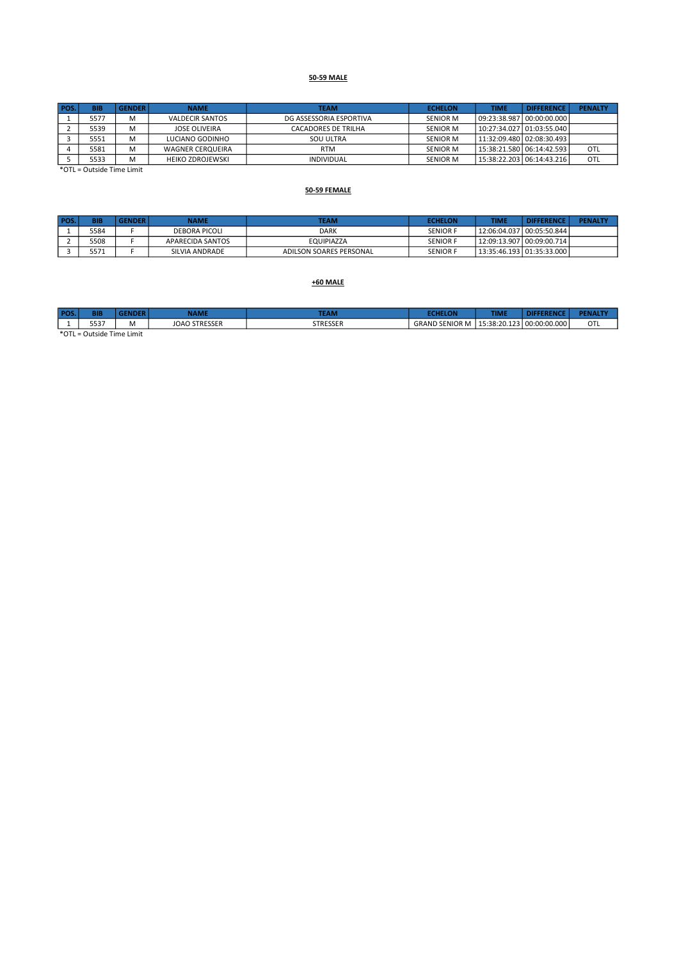## 50-59 MALE

| POS. | <b>BIB</b>                                              | <b>GENDER</b> | <b>NAME</b>             | <b>TEAM</b>                | <b>ECHELON</b>  | <b>TIME</b>               | <b>DIFFERENCE</b>           | <b>PENALTY</b> |
|------|---------------------------------------------------------|---------------|-------------------------|----------------------------|-----------------|---------------------------|-----------------------------|----------------|
|      | 5577                                                    | M             | <b>VALDECIR SANTOS</b>  | DG ASSESSORIA ESPORTIVA    | <b>SENIOR M</b> | 09:23:38.987 00:00:00.000 |                             |                |
|      | 5539                                                    | M             | JOSE OLIVEIRA           | <b>CACADORES DE TRILHA</b> | <b>SENIOR M</b> |                           | 10:27:34.027   01:03:55.040 |                |
|      | 5551                                                    | M             | LUCIANO GODINHO         | SOU ULTRA                  | <b>SENIOR M</b> |                           | 11:32:09.480 02:08:30.493   |                |
|      | 5581                                                    | M             | <b>WAGNER CERQUEIRA</b> | <b>RTM</b>                 | <b>SENIOR M</b> |                           | 15:38:21.580 06:14:42.593   | OTL            |
|      | 5533                                                    | M             | <b>HEIKO ZDROJEWSKI</b> | <b>INDIVIDUAL</b>          | <b>SENIOR M</b> |                           | 15:38:22.203   06:14:43.216 | OTL            |
| $+2$ | $\sim$ $\sim$ $\sim$ $\sim$ $\sim$ $\sim$ $\sim$ $\sim$ |               |                         |                            |                 |                           |                             |                |

\*OTL = Outside Time Limit

#### 50-59 FEMALE

| POS. | <b>BIB</b> | <b>GENDER</b> | NAME             | <b>TEAM</b>             | <b>ECHELON</b>  | <b>TIME</b> | <b>DIFFERENCE</b>           | <b>PENALTY</b> |
|------|------------|---------------|------------------|-------------------------|-----------------|-------------|-----------------------------|----------------|
|      | 5584       |               | DEBORA PICOLI    | <b>DARK</b>             | <b>SENIOR F</b> |             |                             |                |
|      | 5508       |               | APARECIDA SANTOS | EQUIPIAZZA              | <b>SENIOR F</b> |             | 12:09:13.907   00:09:00.714 |                |
|      | 5571       |               | SILVIA ANDRADE   | ADILSON SOARES PERSONAL | <b>SENIOR F</b> |             | 13:35:46.193   01:35:33.000 |                |

#### +60 MALE

| POS      | BII                                        |           | <b>NAME</b>          | <b>TEAM</b>          |                       | <b>TIME.</b> | uce<br>EREI  | <b>PENALTY</b> |  |  |
|----------|--------------------------------------------|-----------|----------------------|----------------------|-----------------------|--------------|--------------|----------------|--|--|
| <b>.</b> | エロコフ<br>333.                               | <b>IV</b> | <b>JOAO STRESSER</b> | CTDECCED<br>SIKESSER | <b>GRAND SENIOR M</b> | 15:38:20.123 | 00:00:00.000 | OTL            |  |  |
|          | $*$ $\cap$ TI $=$ $\cap$ utoide Time Limit |           |                      |                      |                       |              |              |                |  |  |

\*OTL = Outside Time Limit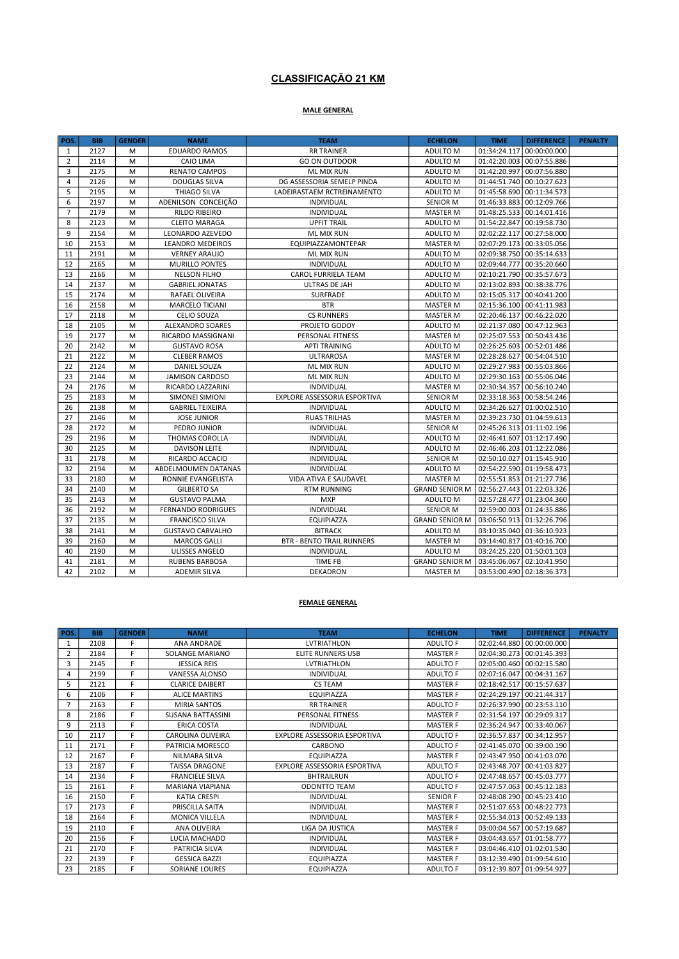## CLASSIFICAÇÃO 21 KM

## MALE GENERAL

| POS.           | <b>BIB</b> | <b>GENDER</b> | <b>NAME</b>               | <b>TEAM</b>                      | <b>ECHELON</b>        | <b>TIME</b>                 | <b>DIFFERENCE</b>         | <b>PENALTY</b> |
|----------------|------------|---------------|---------------------------|----------------------------------|-----------------------|-----------------------------|---------------------------|----------------|
| $\mathbf{1}$   | 2127       | M             | <b>EDUARDO RAMOS</b>      | <b>RR TRAINER</b>                | ADULTO M              | 01:34:24.117 00:00:00.000   |                           |                |
| $\overline{2}$ | 2114       | M             | <b>CAIO LIMA</b>          | <b>GO ON OUTDOOR</b>             | ADULTO M              | 01:42:20.003 00:07:55.886   |                           |                |
| 3              | 2175       | M             | <b>RENATO CAMPOS</b>      | <b>ML MIX RUN</b>                | ADULTO M              | 01:42:20.997 00:07:56.880   |                           |                |
| 4              | 2126       | M             | <b>DOUGLAS SILVA</b>      | DG ASSESSORIA SEMELP PINDA       | ADULTO M              | 01:44:51.740 00:10:27.623   |                           |                |
| 5              | 2195       | M             | THIAGO SILVA              | LADEIRASTAEM RCTREINAMENTO       | ADULTO M              | 01:45:58.690 00:11:34.573   |                           |                |
| 6              | 2197       | M             | ADENILSON CONCEIÇÃO       | INDIVIDUAL                       | <b>SENIOR M</b>       | 01:46:33.883 00:12:09.766   |                           |                |
| $\overline{7}$ | 2179       | M             | <b>RILDO RIBEIRO</b>      | INDIVIDUAL                       | <b>MASTER M</b>       | 01:48:25.533 00:14:01.416   |                           |                |
| 8              | 2123       | M             | <b>CLEITO MARAGA</b>      | <b>UPFIT TRAIL</b>               | ADULTO M              | 01:54:22.847 00:19:58.730   |                           |                |
| 9              | 2154       | M             | LEONARDO AZEVEDO          | <b>ML MIX RUN</b>                | ADULTO M              | 02:02:22.117 00:27:58.000   |                           |                |
| 10             | 2153       | M             | <b>LEANDRO MEDEIROS</b>   | EQUIPIAZZAMONTEPAR               | <b>MASTER M</b>       | 02:07:29.173 00:33:05.056   |                           |                |
| 11             | 2191       | M             | <b>VERNEY ARAUJO</b>      | ML MIX RUN                       | ADULTO M              | 02:09:38.750 00:35:14.633   |                           |                |
| 12             | 2165       | M             | <b>MURILLO PONTES</b>     | <b>INDIVIDUAL</b>                | ADULTO M              | 02:09:44.777 00:35:20.660   |                           |                |
| 13             | 2166       | M             | <b>NELSON FILHO</b>       | CAROL FURRIELA TEAM              | ADULTO M              | 02:10:21.790 00:35:57.673   |                           |                |
| 14             | 2137       | M             | <b>GABRIEL JONATAS</b>    | ULTRAS DE JAH                    | ADULTO M              | 02:13:02.893 00:38:38.776   |                           |                |
| 15             | 2174       | M             | RAFAEL OLIVEIRA           | SURFRADE                         | ADULTO M              | 02:15:05.317 00:40:41.200   |                           |                |
| 16             | 2158       | M             | MARCELO TICIANI           | <b>BTR</b>                       | <b>MASTER M</b>       | 02:15:36.100 00:41:11.983   |                           |                |
| 17             | 2118       | M             | <b>CELIO SOUZA</b>        | <b>CS RUNNERS</b>                | <b>MASTER M</b>       | 02:20:46.137 00:46:22.020   |                           |                |
| 18             | 2105       | M             | ALEXANDRO SOARES          | PROJETO GODOY                    | ADULTO M              | 02:21:37.080 00:47:12.963   |                           |                |
| 19             | 2177       | M             | RICARDO MASSIGNANI        | PERSONAL FITNESS                 | MASTER M              | 02:25:07.553 00:50:43.436   |                           |                |
| 20             | 2142       | M             | <b>GUSTAVO ROSA</b>       | <b>APTI TRAINING</b>             | ADULTO M              | 02:26:25.603   00:52:01.486 |                           |                |
| 21             | 2122       | M             | <b>CLEBER RAMOS</b>       | <b>ULTRAROSA</b>                 | <b>MASTER M</b>       | 02:28:28.627 00:54:04.510   |                           |                |
| 22             | 2124       | M             | DANIEL SOUZA              | ML MIX RUN                       | ADULTO M              | 02:29:27.983 00:55:03.866   |                           |                |
| 23             | 2144       | M             | <b>JAMISON CARDOSO</b>    | ML MIX RUN                       | ADULTO M              | 02:29:30.163 00:55:06.046   |                           |                |
| 24             | 2176       | M             | RICARDO LAZZARINI         | INDIVIDUAL                       | <b>MASTER M</b>       | 02:30:34.357 00:56:10.240   |                           |                |
| 25             | 2183       | M             | SIMONEI SIMIONI           | EXPLORE ASSESSORIA ESPORTIVA     | <b>SENIOR M</b>       | 02:33:18.363 00:58:54.246   |                           |                |
| 26             | 2138       | M             | <b>GABRIEL TEIXEIRA</b>   | <b>INDIVIDUAL</b>                | ADULTO M              | 02:34:26.627 01:00:02.510   |                           |                |
| 27             | 2146       | M             | <b>JOSE JUNIOR</b>        | <b>RUAS TRILHAS</b>              | MASTER M              | 02:39:23.730 01:04:59.613   |                           |                |
| 28             | 2172       | M             | PEDRO JUNIOR              | INDIVIDUAL                       | <b>SENIOR M</b>       | 02:45:26.313 01:11:02.196   |                           |                |
| 29             | 2196       | M             | THOMAS COROLLA            | INDIVIDUAL                       | ADULTO M              | 02:46:41.607 01:12:17.490   |                           |                |
| 30             | 2125       | M             | <b>DAVISON LEITE</b>      | INDIVIDUAL                       | ADULTO M              | 02:46:46.203 01:12:22.086   |                           |                |
| 31             | 2178       | M             | RICARDO ACCACIO           | INDIVIDUAL                       | <b>SENIOR M</b>       | 02:50:10.027 01:15:45.910   |                           |                |
| 32             | 2194       | M             | ABDELMOUMEN DATANAS       | INDIVIDUAL                       | ADULTO M              | 02:54:22.590 01:19:58.473   |                           |                |
| 33             | 2180       | M             | RONNIE EVANGELISTA        | VIDA ATIVA E SAUDAVEL            | MASTER M              | 02:55:51.853 01:21:27.736   |                           |                |
| 34             | 2140       | M             | <b>GILBERTO SA</b>        | <b>RTM RUNNING</b>               | <b>GRAND SENIOR M</b> | 02:56:27.443 01:22:03.326   |                           |                |
| 35             | 2143       | M             | <b>GUSTAVO PALMA</b>      | <b>MXP</b>                       | ADULTO M              | 02:57:28.477   01:23:04.360 |                           |                |
| 36             | 2192       | M             | <b>FERNANDO RODRIGUES</b> | INDIVIDUAL                       | <b>SENIOR M</b>       | 02:59:00.003   01:24:35.886 |                           |                |
| 37             | 2135       | M             | <b>FRANCISCO SILVA</b>    | EQUIPIAZZA                       | <b>GRAND SENIOR M</b> | 03:06:50.913 01:32:26.796   |                           |                |
| 38             | 2141       | M             | <b>GUSTAVO CARVALHO</b>   | <b>BITRACK</b>                   | ADULTO M              | 03:10:35.040 01:36:10.923   |                           |                |
| 39             | 2160       | M             | <b>MARCOS GALLI</b>       | <b>BTR - BENTO TRAIL RUNNERS</b> | <b>MASTER M</b>       | 03:14:40.817 01:40:16.700   |                           |                |
| 40             | 2190       | M             | ULISSES ANGELO            | INDIVIDUAL                       | ADULTO M              | 03:24:25.220 01:50:01.103   |                           |                |
| 41             | 2181       | M             | <b>RUBENS BARBOSA</b>     | TIME FB                          | <b>GRAND SENIOR M</b> | 03:45:06.067 02:10:41.950   |                           |                |
| 42             | 2102       | M             | <b>ADEMIR SILVA</b>       | <b>DEKADRON</b>                  | <b>MASTER M</b>       |                             | 03:53:00.490 02:18:36.373 |                |

#### FEMALE GENERAL

| POS.           | <b>BIB</b> | <b>GENDER</b> | <b>NAME</b>              | <b>TEAM</b>                  | <b>ECHELON</b>  | <b>TIME</b> | <b>DIFFERENCE</b>         | <b>PENALTY</b> |
|----------------|------------|---------------|--------------------------|------------------------------|-----------------|-------------|---------------------------|----------------|
| 1              | 2108       | E             | <b>ANA ANDRADE</b>       | <b>LVTRIATHLON</b>           | <b>ADULTO F</b> |             | 02:02:44.880 00:00:00.000 |                |
| 2              | 2184       | F.            | SOLANGE MARIANO          | <b>ELITE RUNNERS USB</b>     | <b>MASTER F</b> |             | 02:04:30.273 00:01:45.393 |                |
| 3              | 2145       | F.            | <b>JESSICA REIS</b>      | LVTRIATHLON                  | <b>ADULTO F</b> |             | 02:05:00.460 00:02:15.580 |                |
| 4              | 2199       | F             | VANESSA ALONSO           | <b>INDIVIDUAL</b>            | <b>ADULTO F</b> |             | 02:07:16.047 00:04:31.167 |                |
| 5              | 2121       | F.            | <b>CLARICE DAIBERT</b>   | <b>CS TEAM</b>               | <b>MASTER F</b> |             | 02:18:42.517 00:15:57.637 |                |
| 6              | 2106       | F.            | <b>ALICE MARTINS</b>     | EQUIPIAZZA                   | <b>MASTER F</b> |             | 02:24:29.197 00:21:44.317 |                |
| $\overline{7}$ | 2163       | F             | <b>MIRIA SANTOS</b>      | <b>RR TRAINER</b>            | <b>ADULTO F</b> |             | 02:26:37.990 00:23:53.110 |                |
| 8              | 2186       | F             | <b>SUSANA BATTASSINI</b> | PERSONAL FITNESS             | <b>MASTER F</b> |             | 02:31:54.197 00:29:09.317 |                |
| 9              | 2113       | F.            | <b>ERICA COSTA</b>       | <b>INDIVIDUAL</b>            | <b>MASTER F</b> |             | 02:36:24.947 00:33:40.067 |                |
| 10             | 2117       | F             | <b>CAROLINA OLIVEIRA</b> | EXPLORE ASSESSORIA ESPORTIVA | <b>ADULTO F</b> |             | 02:36:57.837 00:34:12.957 |                |
| 11             | 2171       | F.            | PATRICIA MORESCO         | CARBONO                      | <b>ADULTO F</b> |             | 02:41:45.070 00:39:00.190 |                |
| 12             | 2167       | F.            | <b>NILMARA SILVA</b>     | <b>EQUIPIAZZA</b>            | <b>MASTER F</b> |             | 02:43:47.950 00:41:03.070 |                |
| 13             | 2187       | F             | <b>TAISSA DRAGONE</b>    | EXPLORE ASSESSORIA ESPORTIVA | <b>ADULTO F</b> |             | 02:43:48.707 00:41:03.827 |                |
| 14             | 2134       | F.            | <b>FRANCIELE SILVA</b>   | <b>BHTRAILRUN</b>            | <b>ADULTO F</b> |             | 02:47:48.657 00:45:03.777 |                |
| 15             | 2161       | F.            | <b>MARIANA VIAPIANA</b>  | <b>ODONTTO TEAM</b>          | <b>ADULTO F</b> |             | 02:47:57.063 00:45:12.183 |                |
| 16             | 2150       | F.            | <b>KATIA CRESPI</b>      | <b>INDIVIDUAL</b>            | <b>SENIOR F</b> |             | 02:48:08.290 00:45:23.410 |                |
| 17             | 2173       | F             | PRISCILLA SAITA          | <b>INDIVIDUAL</b>            | <b>MASTER F</b> |             | 02:51:07.653 00:48:22.773 |                |
| 18             | 2164       | F             | MONICA VILLELA           | INDIVIDUAL                   | <b>MASTER F</b> |             | 02:55:34.013 00:52:49.133 |                |
| 19             | 2110       | F             | ANA OLIVEIRA             | <b>LIGA DA JUSTICA</b>       | <b>MASTER F</b> |             | 03:00:04.567 00:57:19.687 |                |
| 20             | 2156       | F             | LUCIA MACHADO            | <b>INDIVIDUAL</b>            | <b>MASTER F</b> |             | 03:04:43.657 01:01:58.777 |                |
| 21             | 2170       | E.            | <b>PATRICIA SILVA</b>    | <b>INDIVIDUAL</b>            | <b>MASTER F</b> |             | 03:04:46.410 01:02:01.530 |                |
| 22             | 2139       | F.            | <b>GESSICA BAZZI</b>     | <b>EQUIPIAZZA</b>            | <b>MASTER F</b> |             | 03:12:39.490 01:09:54.610 |                |
| 23             | 2185       | F.            | <b>SORIANE LOURES</b>    | <b>EQUIPIAZZA</b>            | <b>ADULTO F</b> |             | 03:12:39.807 01:09:54.927 |                |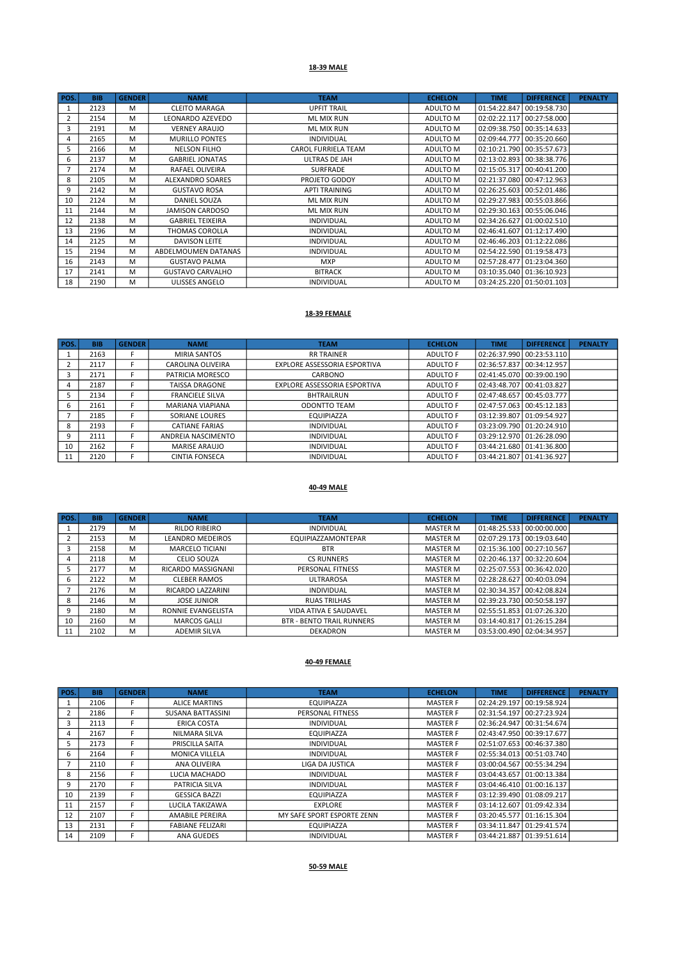#### 18-39 MALE

| POS. | <b>BIB</b> | <b>GENDER</b> | <b>NAME</b>             | <b>TEAM</b>                | <b>ECHELON</b> | <b>TIME</b> | <b>DIFFERENCE</b>         | <b>PENALTY</b> |
|------|------------|---------------|-------------------------|----------------------------|----------------|-------------|---------------------------|----------------|
|      | 2123       | M             | <b>CLEITO MARAGA</b>    | <b>UPFIT TRAIL</b>         | ADULTO M       |             | 01:54:22.847 00:19:58.730 |                |
| 2    | 2154       | M             | LEONARDO AZEVEDO        | <b>ML MIX RUN</b>          | ADULTO M       |             | 02:02:22.117 00:27:58.000 |                |
| 3    | 2191       | M             | <b>VERNEY ARAUJO</b>    | <b>ML MIX RUN</b>          | ADULTO M       |             | 02:09:38.750 00:35:14.633 |                |
| 4    | 2165       | M             | <b>MURILLO PONTES</b>   | <b>INDIVIDUAL</b>          | ADULTO M       |             | 02:09:44.777 00:35:20.660 |                |
| 5    | 2166       | M             | <b>NELSON FILHO</b>     | <b>CAROL FURRIELA TEAM</b> | ADULTO M       |             | 02:10:21.790 00:35:57.673 |                |
| 6    | 2137       | M             | <b>GABRIEL JONATAS</b>  | ULTRAS DE JAH              | ADULTO M       |             | 02:13:02.893 00:38:38.776 |                |
|      | 2174       | M             | RAFAEL OLIVEIRA         | <b>SURFRADE</b>            | ADULTO M       |             | 02:15:05.317 00:40:41.200 |                |
| 8    | 2105       | M             | <b>ALEXANDRO SOARES</b> | PROJETO GODOY              | ADULTO M       |             | 02:21:37.080 00:47:12.963 |                |
| 9    | 2142       | M             | <b>GUSTAVO ROSA</b>     | <b>APTI TRAINING</b>       | ADULTO M       |             | 02:26:25.603 00:52:01.486 |                |
| 10   | 2124       | M             | <b>DANIEL SOUZA</b>     | <b>ML MIX RUN</b>          | ADULTO M       |             | 02:29:27.983 00:55:03.866 |                |
| 11   | 2144       | M             | <b>JAMISON CARDOSO</b>  | <b>ML MIX RUN</b>          | ADULTO M       |             | 02:29:30.163 00:55:06.046 |                |
| 12   | 2138       | M             | <b>GABRIEL TEIXEIRA</b> | <b>INDIVIDUAL</b>          | ADULTO M       |             | 02:34:26.627 01:00:02.510 |                |
| 13   | 2196       | M             | THOMAS COROLLA          | <b>INDIVIDUAL</b>          | ADULTO M       |             | 02:46:41.607 01:12:17.490 |                |
| 14   | 2125       | M             | <b>DAVISON LEITE</b>    | <b>INDIVIDUAL</b>          | ADULTO M       |             | 02:46:46.203 01:12:22.086 |                |
| 15   | 2194       | M             | ABDELMOUMEN DATANAS     | <b>INDIVIDUAL</b>          | ADULTO M       |             | 02:54:22.590 01:19:58.473 |                |
| 16   | 2143       | M             | <b>GUSTAVO PALMA</b>    | <b>MXP</b>                 | ADULTO M       |             | 02:57:28.477 01:23:04.360 |                |
| 17   | 2141       | M             | <b>GUSTAVO CARVALHO</b> | <b>BITRACK</b>             | ADULTO M       |             | 03:10:35.040 01:36:10.923 |                |
| 18   | 2190       | М             | ULISSES ANGELO          | <b>INDIVIDUAL</b>          | ADULTO M       |             | 03:24:25.220 01:50:01.103 |                |

#### 18-39 FEMALE

| POS. | <b>BIB</b> | <b>GENDER</b> | <b>NAME</b>            | <b>TEAM</b>                  | <b>ECHELON</b>  | <b>TIME</b>               | <b>DIFFERENCE</b>         | <b>PENALTY</b> |
|------|------------|---------------|------------------------|------------------------------|-----------------|---------------------------|---------------------------|----------------|
|      | 2163       |               | <b>MIRIA SANTOS</b>    | <b>RR TRAINER</b>            | ADULTO F        |                           | 02:26:37.990 00:23:53.110 |                |
|      | 2117       |               | CAROLINA OLIVEIRA      | EXPLORE ASSESSORIA ESPORTIVA | ADULTO F        | 02:36:57.837 00:34:12.957 |                           |                |
|      | 2171       |               | PATRICIA MORESCO       | CARBONO                      | ADULTO F        |                           | 02:41:45.070 00:39:00.190 |                |
|      | 2187       |               | <b>TAISSA DRAGONE</b>  | EXPLORE ASSESSORIA ESPORTIVA | <b>ADULTO F</b> | 02:43:48.707 00:41:03.827 |                           |                |
|      | 2134       |               | <b>FRANCIELE SILVA</b> | BHTRAILRUN                   | <b>ADULTO F</b> |                           | 02:47:48.657 00:45:03.777 |                |
|      | 2161       |               | MARIANA VIAPIANA       | <b>ODONTTO TEAM</b>          | <b>ADULTO F</b> |                           | 02:47:57.063 00:45:12.183 |                |
|      | 2185       |               | <b>SORIANE LOURES</b>  | EQUIPIAZZA                   | <b>ADULTO F</b> | 03:12:39.807 01:09:54.927 |                           |                |
| ŏ    | 2193       |               | <b>CATIANE FARIAS</b>  | <b>INDIVIDUAL</b>            | <b>ADULTO F</b> |                           | 03:23:09.790 01:20:24.910 |                |
|      | 2111       |               | ANDREIA NASCIMENTO     | <b>INDIVIDUAL</b>            | <b>ADULTO F</b> |                           | 03:29:12.970 01:26:28.090 |                |
| 10   | 2162       |               | <b>MARISE ARAUJO</b>   | <b>INDIVIDUAL</b>            | ADULTO F        |                           | 03:44:21.680 01:41:36.800 |                |
| 11   | 2120       |               | <b>CINTIA FONSECA</b>  | <b>INDIVIDUAL</b>            | <b>ADULTO F</b> |                           | 03:44:21.807 01:41:36.927 |                |

## 40-49 MALE

| POS. | <b>BIB</b> | <b>GENDER</b> | <b>NAME</b>             | <b>TEAM</b>                      | <b>ECHELON</b>  | <b>TIME</b>               | <b>DIFFERENCE</b>           | <b>PENALTY</b> |
|------|------------|---------------|-------------------------|----------------------------------|-----------------|---------------------------|-----------------------------|----------------|
|      | 2179       | M             | <b>RILDO RIBEIRO</b>    | <b>INDIVIDUAL</b>                | <b>MASTER M</b> |                           |                             |                |
| 2    | 2153       | м             | <b>LEANDRO MEDEIROS</b> | EQUIPIAZZAMONTEPAR               | <b>MASTER M</b> |                           | 02:07:29.173 00:19:03.640   |                |
| 3    | 2158       | M             | <b>MARCELO TICIANI</b>  | <b>BTR</b>                       | <b>MASTER M</b> | 02:15:36.100 00:27:10.567 |                             |                |
| 4    | 2118       | M             | <b>CELIO SOUZA</b>      | <b>CS RUNNERS</b>                | <b>MASTER M</b> | 02:20:46.137 00:32:20.604 |                             |                |
|      | 2177       | м             | RICARDO MASSIGNANI      | PERSONAL FITNESS                 | <b>MASTER M</b> | 02:25:07.553 00:36:42.020 |                             |                |
| 6    | 2122       | M             | <b>CLEBER RAMOS</b>     | <b>ULTRAROSA</b>                 | <b>MASTER M</b> |                           | 02:28:28.627 00:40:03.094   |                |
|      | 2176       | M             | RICARDO LAZZARINI       | <b>INDIVIDUAL</b>                | <b>MASTER M</b> | 02:30:34.357 00:42:08.824 |                             |                |
| 8    | 2146       | M             | <b>JOSE JUNIOR</b>      | <b>RUAS TRILHAS</b>              | <b>MASTER M</b> | 02:39:23.730 00:50:58.197 |                             |                |
| 9    | 2180       | M             | RONNIE EVANGELISTA      | VIDA ATIVA E SAUDAVEL            | <b>MASTER M</b> |                           | 02:55:51.853 01:07:26.320   |                |
| 10   | 2160       | M             | <b>MARCOS GALLI</b>     | <b>BTR - BENTO TRAIL RUNNERS</b> | <b>MASTER M</b> | 03:14:40.817 01:26:15.284 |                             |                |
| 11   | 2102       | M             | <b>ADEMIR SILVA</b>     | <b>DEKADRON</b>                  | <b>MASTER M</b> |                           | 03:53:00.490   02:04:34.957 |                |

#### 40-49 FEMALE

| POS. | <b>BIB</b> | <b>GENDER</b> | <b>NAME</b>             | <b>TEAM</b>                | <b>ECHELON</b>  | <b>TIME</b>               | <b>DIFFERENCE</b>           | <b>PENALTY</b> |
|------|------------|---------------|-------------------------|----------------------------|-----------------|---------------------------|-----------------------------|----------------|
|      | 2106       | F.            | <b>ALICE MARTINS</b>    | EQUIPIAZZA                 | <b>MASTER F</b> | 02:24:29.197              | 00:19:58.924                |                |
| 2    | 2186       | F.            | SUSANA BATTASSINI       | PERSONAL FITNESS           | <b>MASTER F</b> |                           | 02:31:54.197   00:27:23.924 |                |
| 3    | 2113       | F.            | <b>ERICA COSTA</b>      | <b>INDIVIDUAL</b>          | <b>MASTER F</b> |                           | 02:36:24.947 00:31:54.674   |                |
| 4    | 2167       |               | NILMARA SILVA           | EQUIPIAZZA                 | <b>MASTER F</b> | 02:43:47.950 00:39:17.677 |                             |                |
| 5    | 2173       | F             | PRISCILLA SAITA         | <b>INDIVIDUAL</b>          | <b>MASTER F</b> |                           | 02:51:07.653 00:46:37.380   |                |
| 6    | 2164       | F.            | <b>MONICA VILLELA</b>   | <b>INDIVIDUAL</b>          | <b>MASTER F</b> |                           | 02:55:34.013 00:51:03.740   |                |
|      | 2110       |               | ANA OLIVEIRA            | LIGA DA JUSTICA            | <b>MASTER F</b> |                           | 03:00:04.567 00:55:34.294   |                |
| 8    | 2156       | E.            | LUCIA MACHADO           | <b>INDIVIDUAL</b>          | <b>MASTER F</b> |                           | 03:04:43.657 01:00:13.384   |                |
| 9    | 2170       | F.            | PATRICIA SILVA          | <b>INDIVIDUAL</b>          | <b>MASTER F</b> |                           | 03:04:46.410 01:00:16.137   |                |
| 10   | 2139       | F.            | <b>GESSICA BAZZI</b>    | EQUIPIAZZA                 | <b>MASTER F</b> |                           | 03:12:39.490 01:08:09.217   |                |
| 11   | 2157       |               | LUCILA TAKIZAWA         | <b>EXPLORE</b>             | <b>MASTER F</b> |                           | 03:14:12.607 01:09:42.334   |                |
| 12   | 2107       | F.            | <b>AMABILE PEREIRA</b>  | MY SAFE SPORT ESPORTE ZENN | <b>MASTER F</b> |                           | 03:20:45.577 01:16:15.304   |                |
| 13   | 2131       | E             | <b>FABIANE FELIZARI</b> | EQUIPIAZZA                 | <b>MASTER F</b> |                           | 03:34:11.847 01:29:41.574   |                |
| 14   | 2109       |               | ANA GUEDES              | <b>INDIVIDUAL</b>          | <b>MASTER F</b> |                           | 03:44:21.887 01:39:51.614   |                |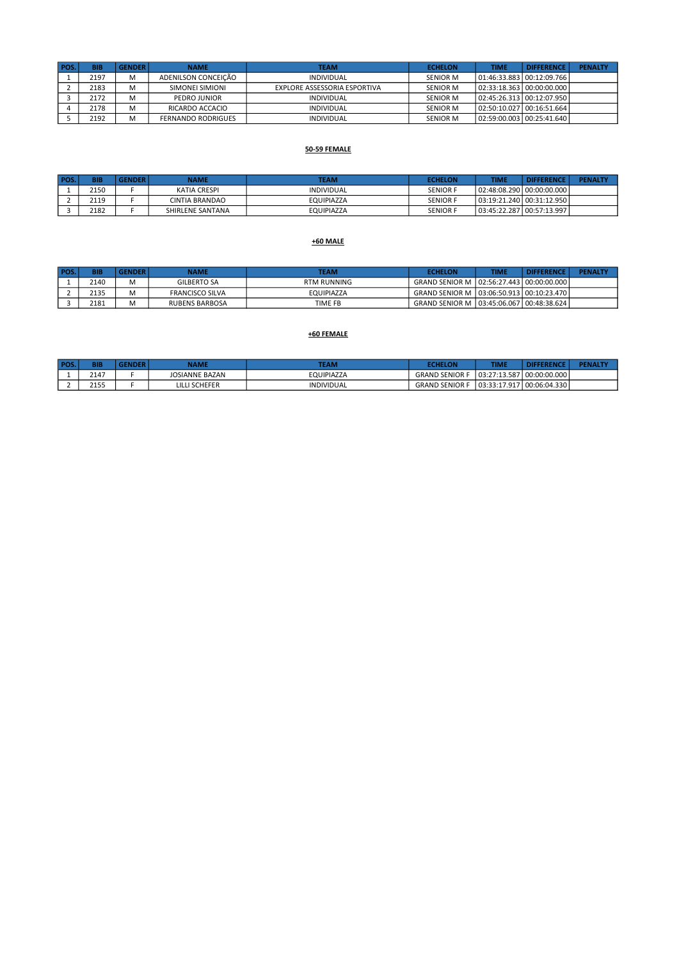| POS. | <b>BIB</b> | <b>GENDER</b> | <b>NAME</b>               | <b>TEAM</b>                  | <b>ECHELON</b>  | <b>TIME</b> | <b>DIFFERENCE</b>           | <b>PENALTY</b> |
|------|------------|---------------|---------------------------|------------------------------|-----------------|-------------|-----------------------------|----------------|
|      | 2197       | M             | ADENILSON CONCEICÃO       | INDIVIDUAL                   | SENIOR M        |             | 01:46:33.883   00:12:09.766 |                |
|      | 2183       | М             | SIMONEI SIMIONI           | EXPLORE ASSESSORIA ESPORTIVA | SENIOR M        |             | 02:33:18.363   00:00:00.000 |                |
|      | 2172       |               | PEDRO JUNIOR              | INDIVIDUAL                   | SENIOR M        |             | 02:45:26.313   00:12:07.950 |                |
|      | 2178       |               | RICARDO ACCACIO           | INDIVIDUAL                   | <b>SENIOR M</b> |             | 02:50:10.027   00:16:51.664 |                |
|      | 2192       | M             | <b>FERNANDO RODRIGUES</b> | INDIVIDUAL                   | <b>SENIOR M</b> |             | 02:59:00.003   00:25:41.640 |                |

## 50-59 FEMALE

| <b>POS</b> | <b>BIB</b> | <b>ENDER</b> | NAME             | TEAM              | <b>ECHELON</b>  | TIME | <b>DIFFERENCE</b>           | <b>PENALTY</b> |
|------------|------------|--------------|------------------|-------------------|-----------------|------|-----------------------------|----------------|
|            | 2150       |              | KATIA CRESPI     | <b>INDIVIDUAL</b> | <b>SENIOR F</b> |      | 02:48:08.290   00:00:00.000 |                |
|            | 2119       |              | CINTIA BRANDAO   | <b>EQUIPIAZZA</b> | <b>SENIOR F</b> |      | 03:19:21.240   00:31:12.950 |                |
|            | 2182       |              | SHIRLENE SANTANA | EQUIPIAZZA        | <b>SENIOR F</b> |      | 03:45:22.287   00:57:13.997 |                |

## +60 MALE

| POS. | <b>BIB</b> | <b>GENDER</b> | NAME                   | <b>TEAM</b> | <b>ECHELON</b>                               | <b>TIME</b> | <b>DIFFERENCE</b> | <b>PENALTY</b> |
|------|------------|---------------|------------------------|-------------|----------------------------------------------|-------------|-------------------|----------------|
|      | 2140       |               | GILBERTO SA            | RTM RUNNING | GRAND SENIOR M   02:56:27.443   00:00:00.000 |             |                   |                |
|      | 2135       |               | <b>FRANCISCO SILVA</b> | EQUIPIAZZA  | GRAND SENIOR M   03:06:50.913   00:10:23.470 |             |                   |                |
|      | 2181       |               | <b>RUBENS BARBOSA</b>  | TIME FB     | GRAND SENIOR M   03:45:06.067   00:48:38.624 |             |                   |                |

## +60 FEMALE

| <b>POS.</b> | BIB  | <b>GENDER</b> | NAME                  | <b>TEAM</b>       | <b>ECHELON</b>        | TIME         | <b>DIFFERENCE</b> | <b>PENALTY</b> |
|-------------|------|---------------|-----------------------|-------------------|-----------------------|--------------|-------------------|----------------|
|             | 2147 |               | <b>JOSIANNE BAZAN</b> | EQUIPIAZZA        | <b>GRAND SENIOR F</b> | 03:27:13.587 | 00:00:00.000      |                |
|             | 2155 |               | LILLI SCHEFER         | <b>INDIVIDUAL</b> | <b>GRAND SENIOR F</b> | 03:33:17.917 | 1 00:06:04.330    |                |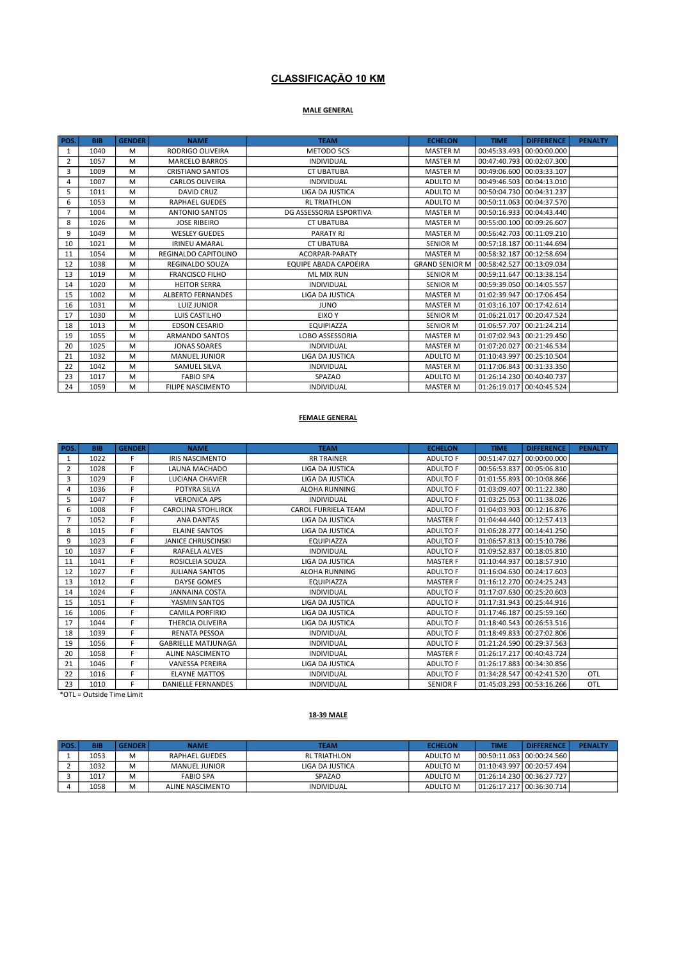## CLASSIFICAÇÃO 10 KM

## MALE GENERAL

| POS.           | <b>BIB</b> | <b>GENDER</b> | <b>NAME</b>              | <b>TEAM</b>                  | <b>ECHELON</b>        | <b>TIME</b>               | <b>DIFFERENCE</b>         | <b>PENALTY</b> |
|----------------|------------|---------------|--------------------------|------------------------------|-----------------------|---------------------------|---------------------------|----------------|
| 1              | 1040       | M             | <b>RODRIGO OLIVEIRA</b>  | METODO 5CS                   | <b>MASTER M</b>       | 00:45:33.493 00:00:00.000 |                           |                |
| $\overline{2}$ | 1057       | M             | <b>MARCELO BARROS</b>    | <b>INDIVIDUAL</b>            | <b>MASTER M</b>       |                           | 00:47:40.793 00:02:07.300 |                |
| 3              | 1009       | M             | <b>CRISTIANO SANTOS</b>  | <b>CT UBATUBA</b>            | <b>MASTER M</b>       | 00:49:06.600 00:03:33.107 |                           |                |
| 4              | 1007       | M             | <b>CARLOS OLIVEIRA</b>   | <b>INDIVIDUAL</b>            | ADULTO M              |                           | 00:49:46.503 00:04:13.010 |                |
| 5              | 1011       | M             | <b>DAVID CRUZ</b>        | <b>LIGA DA JUSTICA</b>       | ADULTO M              |                           | 00:50:04.730 00:04:31.237 |                |
| 6              | 1053       | M             | <b>RAPHAEL GUEDES</b>    | <b>RL TRIATHLON</b>          | ADULTO M              |                           | 00:50:11.063 00:04:37.570 |                |
|                | 1004       | M             | <b>ANTONIO SANTOS</b>    | DG ASSESSORIA ESPORTIVA      | <b>MASTER M</b>       |                           | 00:50:16.933 00:04:43.440 |                |
| 8              | 1026       | M             | <b>JOSE RIBEIRO</b>      | <b>CT UBATUBA</b>            | <b>MASTER M</b>       | 00:55:00.100 00:09:26.607 |                           |                |
| 9              | 1049       | M             | <b>WESLEY GUEDES</b>     | <b>PARATY RJ</b>             | <b>MASTER M</b>       |                           | 00:56:42.703 00:11:09.210 |                |
| 10             | 1021       | M             | <b>IRINEU AMARAL</b>     | <b>CT UBATUBA</b>            | <b>SENIOR M</b>       |                           | 00:57:18.187 00:11:44.694 |                |
| 11             | 1054       | M             | REGINALDO CAPITOLINO     | ACORPAR-PARATY               | <b>MASTER M</b>       |                           | 00:58:32.187 00:12:58.694 |                |
| 12             | 1038       | M             | <b>REGINALDO SOUZA</b>   | <b>EQUIPE ABADA CAPOEIRA</b> | <b>GRAND SENIOR M</b> | 00:58:42.527 00:13:09.034 |                           |                |
| 13             | 1019       | M             | <b>FRANCISCO FILHO</b>   | <b>ML MIX RUN</b>            | <b>SENIOR M</b>       |                           | 00:59:11.647 00:13:38.154 |                |
| 14             | 1020       | M             | <b>HEITOR SERRA</b>      | <b>INDIVIDUAL</b>            | <b>SENIOR M</b>       | 00:59:39.050 00:14:05.557 |                           |                |
| 15             | 1002       | M             | <b>ALBERTO FERNANDES</b> | LIGA DA JUSTICA              | <b>MASTER M</b>       | 01:02:39.947 00:17:06.454 |                           |                |
| 16             | 1031       | M             | <b>LUIZ JUNIOR</b>       | <b>JUNO</b>                  | <b>MASTER M</b>       | 01:03:16.107 00:17:42.614 |                           |                |
| 17             | 1030       | M             | LUIS CASTILHO            | EIXO Y                       | <b>SENIOR M</b>       | 01:06:21.017 00:20:47.524 |                           |                |
| 18             | 1013       | M             | <b>EDSON CESARIO</b>     | <b>EQUIPIAZZA</b>            | <b>SENIOR M</b>       | 01:06:57.707 00:21:24.214 |                           |                |
| 19             | 1055       | M             | <b>ARMANDO SANTOS</b>    | LOBO ASSESSORIA              | MASTER M              |                           | 01:07:02.943 00:21:29.450 |                |
| 20             | 1025       | M             | <b>JONAS SOARES</b>      | <b>INDIVIDUAL</b>            | <b>MASTER M</b>       | 01:07:20.027 00:21:46.534 |                           |                |
| 21             | 1032       | M             | <b>MANUEL JUNIOR</b>     | <b>LIGA DA JUSTICA</b>       | ADULTO M              |                           | 01:10:43.997 00:25:10.504 |                |
| 22             | 1042       | M             | <b>SAMUEL SILVA</b>      | <b>INDIVIDUAL</b>            | <b>MASTER M</b>       |                           | 01:17:06.843 00:31:33.350 |                |
| 23             | 1017       | M             | <b>FABIO SPA</b>         | SPAZAO                       | ADULTO M              |                           | 01:26:14.230 00:40:40.737 |                |
| 24             | 1059       | М             | <b>FILIPE NASCIMENTO</b> | <b>INDIVIDUAL</b>            | <b>MASTER M</b>       |                           | 01:26:19.017 00:40:45.524 |                |

#### FEMALE GENERAL

| POS.           | <b>BIB</b> | <b>GENDER</b> | <b>NAME</b>                | <b>TEAM</b>                | <b>ECHELON</b>  | <b>TIME</b>               | <b>DIFFERENCE</b>         | <b>PENALTY</b> |
|----------------|------------|---------------|----------------------------|----------------------------|-----------------|---------------------------|---------------------------|----------------|
| 1              | 1022       | F             | <b>IRIS NASCIMENTO</b>     | <b>RR TRAINER</b>          | <b>ADULTO F</b> |                           | 00:51:47.027 00:00:00.000 |                |
| $\overline{2}$ | 1028       | F.            | LAUNA MACHADO              | <b>LIGA DA JUSTICA</b>     | <b>ADULTO F</b> |                           | 00:56:53.837 00:05:06.810 |                |
| 3              | 1029       | E.            | <b>LUCIANA CHAVIER</b>     | <b>LIGA DA JUSTICA</b>     | <b>ADULTO F</b> |                           | 01:01:55.893 00:10:08.866 |                |
| 4              | 1036       | E.            | POTYRA SILVA               | <b>ALOHA RUNNING</b>       | <b>ADULTO F</b> |                           | 01:03:09.407 00:11:22.380 |                |
| 5              | 1047       | E.            | <b>VERONICA APS</b>        | <b>INDIVIDUAL</b>          | ADULTO F        |                           | 01:03:25.053 00:11:38.026 |                |
| 6              | 1008       | F.            | <b>CAROLINA STOHLIRCK</b>  | <b>CAROL FURRIELA TEAM</b> | <b>ADULTO F</b> |                           | 01:04:03.903 00:12:16.876 |                |
| $\overline{7}$ | 1052       | F             | <b>ANA DANTAS</b>          | <b>LIGA DA JUSTICA</b>     | <b>MASTER F</b> |                           | 01:04:44.440 00:12:57.413 |                |
| 8              | 1015       | F             | <b>ELAINE SANTOS</b>       | <b>LIGA DA JUSTICA</b>     | <b>ADULTO F</b> |                           | 01:06:28.277 00:14:41.250 |                |
| 9              | 1023       | F.            | <b>JANICE CHRUSCINSKI</b>  | <b>EQUIPIAZZA</b>          | <b>ADULTO F</b> |                           | 01:06:57.813 00:15:10.786 |                |
| 10             | 1037       | F.            | <b>RAFAELA ALVES</b>       | <b>INDIVIDUAL</b>          | <b>ADULTO F</b> |                           | 01:09:52.837 00:18:05.810 |                |
| 11             | 1041       | F             | ROSICLEIA SOUZA            | <b>LIGA DA JUSTICA</b>     | <b>MASTER F</b> | 01:10:44.937 00:18:57.910 |                           |                |
| 12             | 1027       | F.            | <b>JULIANA SANTOS</b>      | <b>ALOHA RUNNING</b>       | <b>ADULTO F</b> | 01:16:04.630 00:24:17.603 |                           |                |
| 13             | 1012       | F             | <b>DAYSE GOMES</b>         | <b>EQUIPIAZZA</b>          | <b>MASTER F</b> |                           | 01:16:12.270 00:24:25.243 |                |
| 14             | 1024       | F.            | <b>JANNAINA COSTA</b>      | <b>INDIVIDUAL</b>          | <b>ADULTO F</b> |                           | 01:17:07.630 00:25:20.603 |                |
| 15             | 1051       | F             | YASMIN SANTOS              | <b>LIGA DA JUSTICA</b>     | <b>ADULTO F</b> |                           | 01:17:31.943 00:25:44.916 |                |
| 16             | 1006       | F             | CAMILA PORFIRIO            | LIGA DA JUSTICA            | <b>ADULTO F</b> |                           | 01:17:46.187 00:25:59.160 |                |
| 17             | 1044       | F             | <b>THERCIA OLIVEIRA</b>    | <b>LIGA DA JUSTICA</b>     | <b>ADULTO F</b> |                           | 01:18:40.543 00:26:53.516 |                |
| 18             | 1039       | F.            | <b>RENATA PESSOA</b>       | <b>INDIVIDUAL</b>          | <b>ADULTO F</b> |                           | 01:18:49.833 00:27:02.806 |                |
| 19             | 1056       | F.            | <b>GABRIELLE MATJUNAGA</b> | <b>INDIVIDUAL</b>          | <b>ADULTO F</b> | 01:21:24.590 00:29:37.563 |                           |                |
| 20             | 1058       | F.            | ALINE NASCIMENTO           | <b>INDIVIDUAL</b>          | <b>MASTER F</b> | 01:26:17.217 00:40:43.724 |                           |                |
| 21             | 1046       | F.            | <b>VANESSA PEREIRA</b>     | LIGA DA JUSTICA            | <b>ADULTO F</b> |                           | 01:26:17.883 00:34:30.856 |                |
| 22             | 1016       | F.            | <b>ELAYNE MATTOS</b>       | <b>INDIVIDUAL</b>          | <b>ADULTO F</b> | 01:34:28.547 00:42:41.520 |                           | OTL            |
| 23             | 1010       | F             | <b>DANIELLE FERNANDES</b>  | <b>INDIVIDUAL</b>          | <b>SENIOR F</b> |                           | 01:45:03.293 00:53:16.266 | OTL            |

\*OTL = Outside Time Limit

## 18-39 MALE

| POS. | <b>BIB</b> | <b>GENDER</b> | <b>NAME</b>      | <b>TEAM</b>         | <b>ECHELON</b> | TIME | <b>DIFFERENCE</b>               | <b>PENALTY</b> |
|------|------------|---------------|------------------|---------------------|----------------|------|---------------------------------|----------------|
|      | 1053       | М             | RAPHAEL GUEDES   | <b>RL TRIATHLON</b> | ADULTO M       |      | l 00:50:11.063 l 00:00:24.560 l |                |
|      | 1032       | М             | MANUEL JUNIOR    | LIGA DA JUSTICA     | ADULTO M       |      | 01:10:43.997   00:20:57.494     |                |
|      | 1017       | М             | <b>FABIO SPA</b> | SPAZAO              | ADULTO M       |      | 01:26:14.230   00:36:27.727     |                |
|      | 1058       | M             | ALINE NASCIMENTO | <b>INDIVIDUAL</b>   | ADULTO M       |      | 01:26:17.217   00:36:30.714     |                |